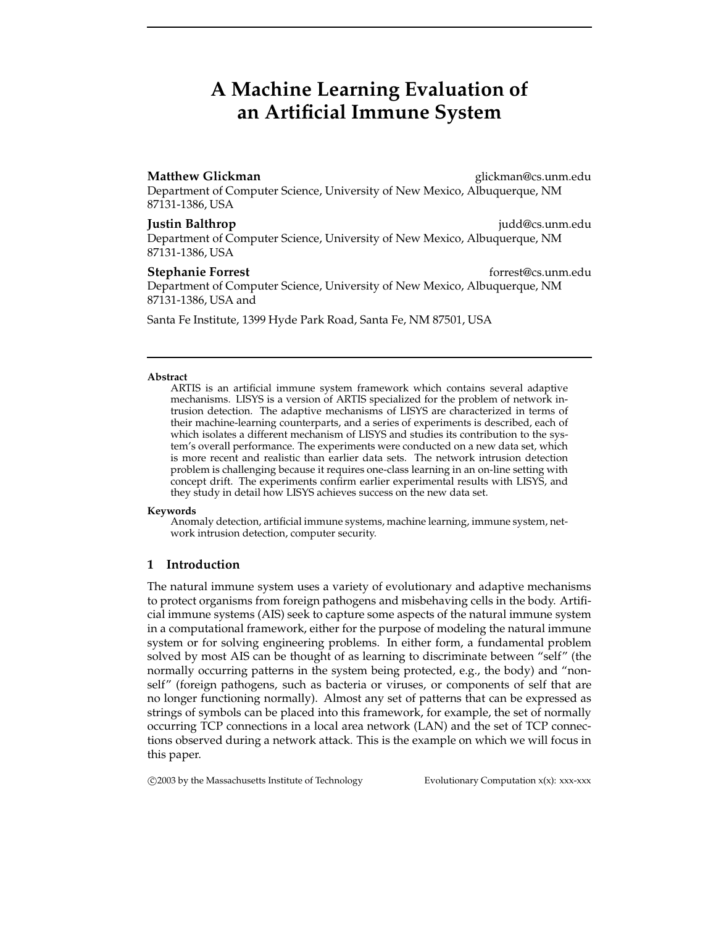# A Machine Learning Evaluation of an Artificial Immune System

**Matthew Glickman** Games and Glickman glickman glickman glickman edu

Department of Computer Science, University of New Mexico, Albuquerque, NM 87131-1386, USA

Justin Balthrop judd@cs.unm.edu Department of Computer Science, University of New Mexico, Albuquerque, NM 87131-1386, USA

Stephanie Forrest forcest for the stephanic forcest forcest forcest forcest forcest for the stephanic during the stephanic during the stephanic during the stephanic during the stephanic during the stephanic during the step

Department of Computer Science, University of New Mexico, Albuquerque, NM 87131-1386, USA and

Santa Fe Institute, 1399 Hyde Park Road, Santa Fe, NM 87501, USA

# Abstract

ARTIS is an artificial immune system framework which contains several adaptive mechanisms. LISYS is a version of ARTIS specialized for the problem of network intrusion detection. The adaptive mechanisms of LISYS are characterized in terms of their machine-learning counterparts, and a series of experiments is described, each of which isolates a different mechanism of LISYS and studies its contribution to the system's overall performance. The experiments were conducted on a new data set, which is more recent and realistic than earlier data sets. The network intrusion detection problem is challenging because it requires one-class learning in an on-line setting with concept drift. The experiments confirm earlier experimental results with LISYS, and they study in detail how LISYS achieves success on the new data set.

### Keywords

Anomaly detection, artificial immune systems, machine learning, immune system, network intrusion detection, computer security.

# 1 Introduction

The natural immune system uses a variety of evolutionary and adaptive mechanisms to protect organisms from foreign pathogens and misbehaving cells in the body. Artificial immune systems (AIS) seek to capture some aspects of the natural immune system in a computational framework, either for the purpose of modeling the natural immune system or for solving engineering problems. In either form, a fundamental problem solved by most AIS can be thought of as learning to discriminate between "self" (the normally occurring patterns in the system being protected, e.g., the body) and "nonself" (foreign pathogens, such as bacteria or viruses, or components of self that are no longer functioning normally). Almost any set of patterns that can be expressed as strings of symbols can be placed into this framework, for example, the set of normally occurring TCP connections in a local area network (LAN) and the set of TCP connections observed during a network attack. This is the example on which we will focus in this paper.

!c 2003 by the Massachusetts Institute of Technology Evolutionary Computation x(x): xxx-xxx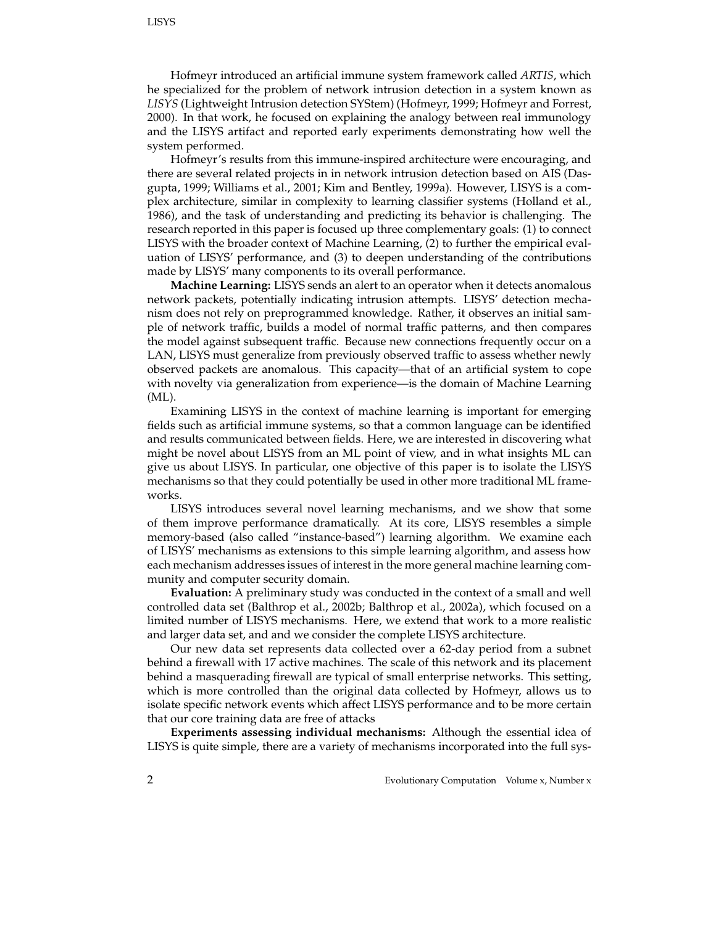Hofmeyr introduced an artificial immune system framework called ARTIS, which he specialized for the problem of network intrusion detection in a system known as LISYS (Lightweight Intrusion detection SYStem) (Hofmeyr, 1999; Hofmeyr and Forrest, 2000). In that work, he focused on explaining the analogy between real immunology and the LISYS artifact and reported early experiments demonstrating how well the system performed.

Hofmeyr's results from this immune-inspired architecture were encouraging, and there are several related projects in in network intrusion detection based on AIS (Dasgupta, 1999; Williams et al., 2001; Kim and Bentley, 1999a). However, LISYS is a complex architecture, similar in complexity to learning classifier systems (Holland et al., 1986), and the task of understanding and predicting its behavior is challenging. The research reported in this paper is focused up three complementary goals: (1) to connect LISYS with the broader context of Machine Learning, (2) to further the empirical evaluation of LISYS' performance, and (3) to deepen understanding of the contributions made by LISYS' many components to its overall performance.

Machine Learning: LISYS sends an alert to an operator when it detects anomalous network packets, potentially indicating intrusion attempts. LISYS' detection mechanism does not rely on preprogrammed knowledge. Rather, it observes an initial sample of network traffic, builds a model of normal traffic patterns, and then compares the model against subsequent traffic. Because new connections frequently occur on a LAN, LISYS must generalize from previously observed traffic to assess whether newly observed packets are anomalous. This capacity—that of an artificial system to cope with novelty via generalization from experience—is the domain of Machine Learning (ML).

Examining LISYS in the context of machine learning is important for emerging fields such as artificial immune systems, so that a common language can be identified and results communicated between fields. Here, we are interested in discovering what might be novel about LISYS from an ML point of view, and in what insights ML can give us about LISYS. In particular, one objective of this paper is to isolate the LISYS mechanisms so that they could potentially be used in other more traditional ML frameworks.

LISYS introduces several novel learning mechanisms, and we show that some of them improve performance dramatically. At its core, LISYS resembles a simple memory-based (also called "instance-based") learning algorithm. We examine each of LISYS' mechanisms as extensions to this simple learning algorithm, and assess how each mechanism addresses issues of interest in the more general machine learning community and computer security domain.

Evaluation: A preliminary study was conducted in the context of a small and well controlled data set (Balthrop et al., 2002b; Balthrop et al., 2002a), which focused on a limited number of LISYS mechanisms. Here, we extend that work to a more realistic and larger data set, and and we consider the complete LISYS architecture.

Our new data set represents data collected over a 62-day period from a subnet behind a firewall with 17 active machines. The scale of this network and its placement behind a masquerading firewall are typical of small enterprise networks. This setting, which is more controlled than the original data collected by Hofmeyr, allows us to isolate specific network events which affect LISYS performance and to be more certain that our core training data are free of attacks

Experiments assessing individual mechanisms: Although the essential idea of LISYS is quite simple, there are a variety of mechanisms incorporated into the full sys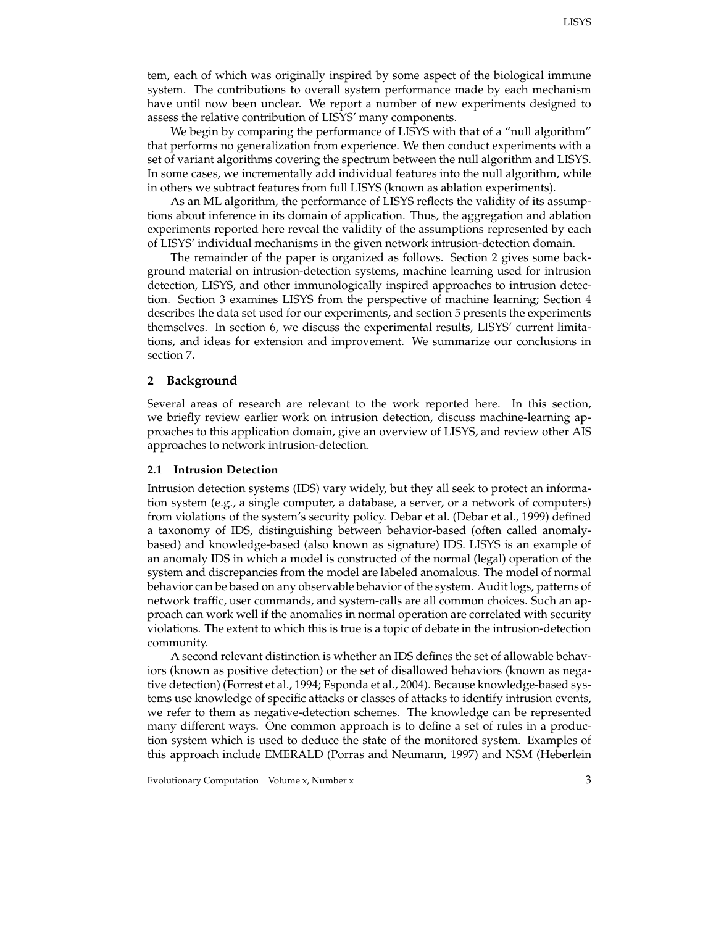tem, each of which was originally inspired by some aspect of the biological immune system. The contributions to overall system performance made by each mechanism have until now been unclear. We report a number of new experiments designed to assess the relative contribution of LISYS' many components.

We begin by comparing the performance of LISYS with that of a "null algorithm" that performs no generalization from experience. We then conduct experiments with a set of variant algorithms covering the spectrum between the null algorithm and LISYS. In some cases, we incrementally add individual features into the null algorithm, while in others we subtract features from full LISYS (known as ablation experiments).

As an ML algorithm, the performance of LISYS reflects the validity of its assumptions about inference in its domain of application. Thus, the aggregation and ablation experiments reported here reveal the validity of the assumptions represented by each of LISYS' individual mechanisms in the given network intrusion-detection domain.

The remainder of the paper is organized as follows. Section 2 gives some background material on intrusion-detection systems, machine learning used for intrusion detection, LISYS, and other immunologically inspired approaches to intrusion detection. Section 3 examines LISYS from the perspective of machine learning; Section 4 describes the data set used for our experiments, and section 5 presents the experiments themselves. In section 6, we discuss the experimental results, LISYS' current limitations, and ideas for extension and improvement. We summarize our conclusions in section 7.

### 2 Background

Several areas of research are relevant to the work reported here. In this section, we briefly review earlier work on intrusion detection, discuss machine-learning approaches to this application domain, give an overview of LISYS, and review other AIS approaches to network intrusion-detection.

### 2.1 Intrusion Detection

Intrusion detection systems (IDS) vary widely, but they all seek to protect an information system (e.g., a single computer, a database, a server, or a network of computers) from violations of the system's security policy. Debar et al. (Debar et al., 1999) defined a taxonomy of IDS, distinguishing between behavior-based (often called anomalybased) and knowledge-based (also known as signature) IDS. LISYS is an example of an anomaly IDS in which a model is constructed of the normal (legal) operation of the system and discrepancies from the model are labeled anomalous. The model of normal behavior can be based on any observable behavior of the system. Audit logs, patterns of network traffic, user commands, and system-calls are all common choices. Such an approach can work well if the anomalies in normal operation are correlated with security violations. The extent to which this is true is a topic of debate in the intrusion-detection community.

A second relevant distinction is whether an IDS defines the set of allowable behaviors (known as positive detection) or the set of disallowed behaviors (known as negative detection) (Forrest et al., 1994; Esponda et al., 2004). Because knowledge-based systems use knowledge of specific attacks or classes of attacks to identify intrusion events, we refer to them as negative-detection schemes. The knowledge can be represented many different ways. One common approach is to define a set of rules in a production system which is used to deduce the state of the monitored system. Examples of this approach include EMERALD (Porras and Neumann, 1997) and NSM (Heberlein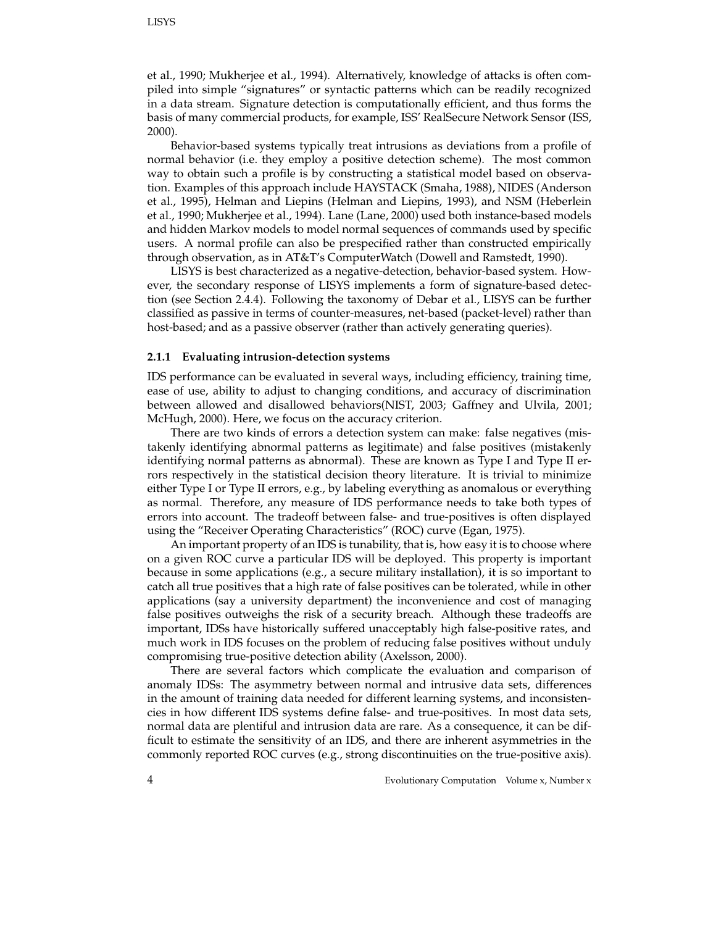et al., 1990; Mukherjee et al., 1994). Alternatively, knowledge of attacks is often compiled into simple "signatures" or syntactic patterns which can be readily recognized in a data stream. Signature detection is computationally efficient, and thus forms the basis of many commercial products, for example, ISS' RealSecure Network Sensor (ISS, 2000).

Behavior-based systems typically treat intrusions as deviations from a profile of normal behavior (i.e. they employ a positive detection scheme). The most common way to obtain such a profile is by constructing a statistical model based on observation. Examples of this approach include HAYSTACK (Smaha, 1988), NIDES (Anderson et al., 1995), Helman and Liepins (Helman and Liepins, 1993), and NSM (Heberlein et al., 1990; Mukherjee et al., 1994). Lane (Lane, 2000) used both instance-based models and hidden Markov models to model normal sequences of commands used by specific users. A normal profile can also be prespecified rather than constructed empirically through observation, as in AT&T's ComputerWatch (Dowell and Ramstedt, 1990).

LISYS is best characterized as a negative-detection, behavior-based system. However, the secondary response of LISYS implements a form of signature-based detection (see Section 2.4.4). Following the taxonomy of Debar et al., LISYS can be further classified as passive in terms of counter-measures, net-based (packet-level) rather than host-based; and as a passive observer (rather than actively generating queries).

#### 2.1.1 Evaluating intrusion-detection systems

IDS performance can be evaluated in several ways, including efficiency, training time, ease of use, ability to adjust to changing conditions, and accuracy of discrimination between allowed and disallowed behaviors(NIST, 2003; Gaffney and Ulvila, 2001; McHugh, 2000). Here, we focus on the accuracy criterion.

There are two kinds of errors a detection system can make: false negatives (mistakenly identifying abnormal patterns as legitimate) and false positives (mistakenly identifying normal patterns as abnormal). These are known as Type I and Type II errors respectively in the statistical decision theory literature. It is trivial to minimize either Type I or Type II errors, e.g., by labeling everything as anomalous or everything as normal. Therefore, any measure of IDS performance needs to take both types of errors into account. The tradeoff between false- and true-positives is often displayed using the "Receiver Operating Characteristics" (ROC) curve (Egan, 1975).

An important property of an IDS is tunability, that is, how easy it is to choose where on a given ROC curve a particular IDS will be deployed. This property is important because in some applications (e.g., a secure military installation), it is so important to catch all true positives that a high rate of false positives can be tolerated, while in other applications (say a university department) the inconvenience and cost of managing false positives outweighs the risk of a security breach. Although these tradeoffs are important, IDSs have historically suffered unacceptably high false-positive rates, and much work in IDS focuses on the problem of reducing false positives without unduly compromising true-positive detection ability (Axelsson, 2000).

There are several factors which complicate the evaluation and comparison of anomaly IDSs: The asymmetry between normal and intrusive data sets, differences in the amount of training data needed for different learning systems, and inconsistencies in how different IDS systems define false- and true-positives. In most data sets, normal data are plentiful and intrusion data are rare. As a consequence, it can be difficult to estimate the sensitivity of an IDS, and there are inherent asymmetries in the commonly reported ROC curves (e.g., strong discontinuities on the true-positive axis).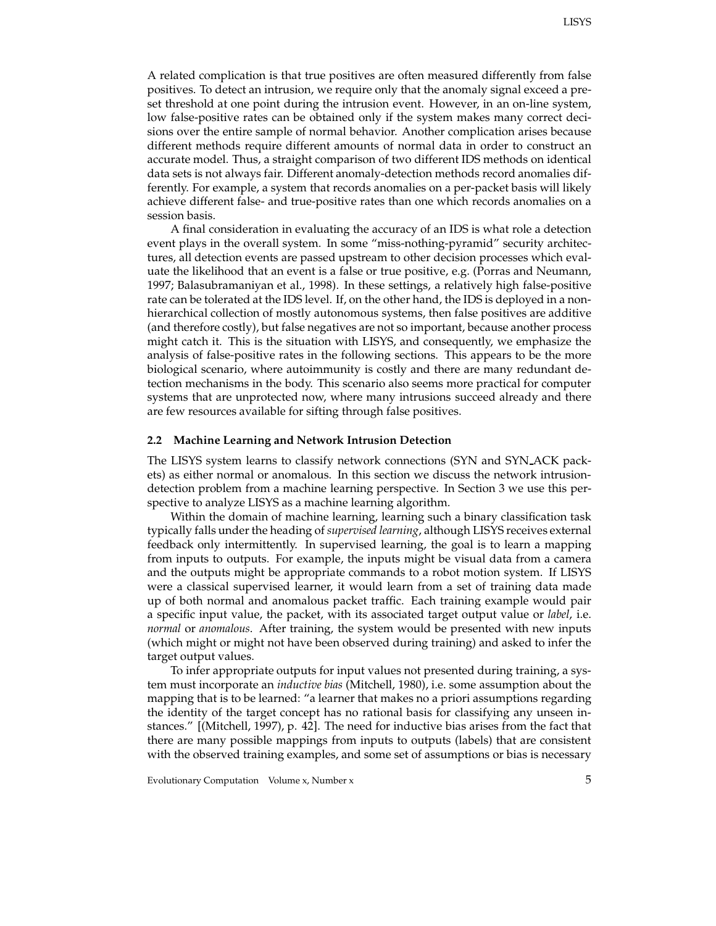A related complication is that true positives are often measured differently from false positives. To detect an intrusion, we require only that the anomaly signal exceed a preset threshold at one point during the intrusion event. However, in an on-line system, low false-positive rates can be obtained only if the system makes many correct decisions over the entire sample of normal behavior. Another complication arises because different methods require different amounts of normal data in order to construct an accurate model. Thus, a straight comparison of two different IDS methods on identical data sets is not always fair. Different anomaly-detection methods record anomalies differently. For example, a system that records anomalies on a per-packet basis will likely achieve different false- and true-positive rates than one which records anomalies on a session basis.

A final consideration in evaluating the accuracy of an IDS is what role a detection event plays in the overall system. In some "miss-nothing-pyramid" security architectures, all detection events are passed upstream to other decision processes which evaluate the likelihood that an event is a false or true positive, e.g. (Porras and Neumann, 1997; Balasubramaniyan et al., 1998). In these settings, a relatively high false-positive rate can be tolerated at the IDS level. If, on the other hand, the IDS is deployed in a nonhierarchical collection of mostly autonomous systems, then false positives are additive (and therefore costly), but false negatives are not so important, because another process might catch it. This is the situation with LISYS, and consequently, we emphasize the analysis of false-positive rates in the following sections. This appears to be the more biological scenario, where autoimmunity is costly and there are many redundant detection mechanisms in the body. This scenario also seems more practical for computer systems that are unprotected now, where many intrusions succeed already and there are few resources available for sifting through false positives.

### 2.2 Machine Learning and Network Intrusion Detection

The LISYS system learns to classify network connections (SYN and SYN ACK packets) as either normal or anomalous. In this section we discuss the network intrusiondetection problem from a machine learning perspective. In Section 3 we use this perspective to analyze LISYS as a machine learning algorithm.

Within the domain of machine learning, learning such a binary classification task typically falls under the heading of *supervised learning*, although LISYS receives external feedback only intermittently. In supervised learning, the goal is to learn a mapping from inputs to outputs. For example, the inputs might be visual data from a camera and the outputs might be appropriate commands to a robot motion system. If LISYS were a classical supervised learner, it would learn from a set of training data made up of both normal and anomalous packet traffic. Each training example would pair a specific input value, the packet, with its associated target output value or *label*, i.e. normal or anomalous. After training, the system would be presented with new inputs (which might or might not have been observed during training) and asked to infer the target output values.

To infer appropriate outputs for input values not presented during training, a system must incorporate an *inductive bias* (Mitchell, 1980), *i.e.* some assumption about the mapping that is to be learned: "a learner that makes no a priori assumptions regarding the identity of the target concept has no rational basis for classifying any unseen instances." [(Mitchell, 1997), p. 42]. The need for inductive bias arises from the fact that there are many possible mappings from inputs to outputs (labels) that are consistent with the observed training examples, and some set of assumptions or bias is necessary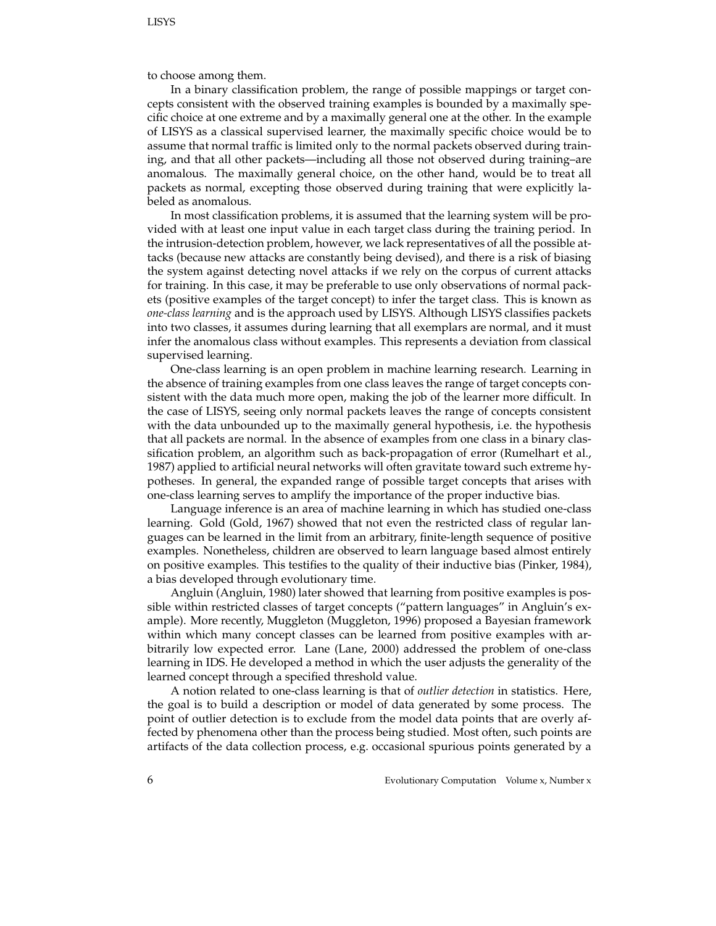to choose among them.

In a binary classification problem, the range of possible mappings or target concepts consistent with the observed training examples is bounded by a maximally specific choice at one extreme and by a maximally general one at the other. In the example of LISYS as a classical supervised learner, the maximally specific choice would be to assume that normal traffic is limited only to the normal packets observed during training, and that all other packets—including all those not observed during training–are anomalous. The maximally general choice, on the other hand, would be to treat all packets as normal, excepting those observed during training that were explicitly labeled as anomalous.

In most classification problems, it is assumed that the learning system will be provided with at least one input value in each target class during the training period. In the intrusion-detection problem, however, we lack representatives of all the possible attacks (because new attacks are constantly being devised), and there is a risk of biasing the system against detecting novel attacks if we rely on the corpus of current attacks for training. In this case, it may be preferable to use only observations of normal packets (positive examples of the target concept) to infer the target class. This is known as one-class learning and is the approach used by LISYS. Although LISYS classifies packets into two classes, it assumes during learning that all exemplars are normal, and it must infer the anomalous class without examples. This represents a deviation from classical supervised learning.

One-class learning is an open problem in machine learning research. Learning in the absence of training examples from one class leaves the range of target concepts consistent with the data much more open, making the job of the learner more difficult. In the case of LISYS, seeing only normal packets leaves the range of concepts consistent with the data unbounded up to the maximally general hypothesis, i.e. the hypothesis that all packets are normal. In the absence of examples from one class in a binary classification problem, an algorithm such as back-propagation of error (Rumelhart et al., 1987) applied to artificial neural networks will often gravitate toward such extreme hypotheses. In general, the expanded range of possible target concepts that arises with one-class learning serves to amplify the importance of the proper inductive bias.

Language inference is an area of machine learning in which has studied one-class learning. Gold (Gold, 1967) showed that not even the restricted class of regular languages can be learned in the limit from an arbitrary, finite-length sequence of positive examples. Nonetheless, children are observed to learn language based almost entirely on positive examples. This testifies to the quality of their inductive bias (Pinker, 1984), a bias developed through evolutionary time.

Angluin (Angluin, 1980) later showed that learning from positive examples is possible within restricted classes of target concepts ("pattern languages" in Angluin's example). More recently, Muggleton (Muggleton, 1996) proposed a Bayesian framework within which many concept classes can be learned from positive examples with arbitrarily low expected error. Lane (Lane, 2000) addressed the problem of one-class learning in IDS. He developed a method in which the user adjusts the generality of the learned concept through a specified threshold value.

A notion related to one-class learning is that of outlier detection in statistics. Here, the goal is to build a description or model of data generated by some process. The point of outlier detection is to exclude from the model data points that are overly affected by phenomena other than the process being studied. Most often, such points are artifacts of the data collection process, e.g. occasional spurious points generated by a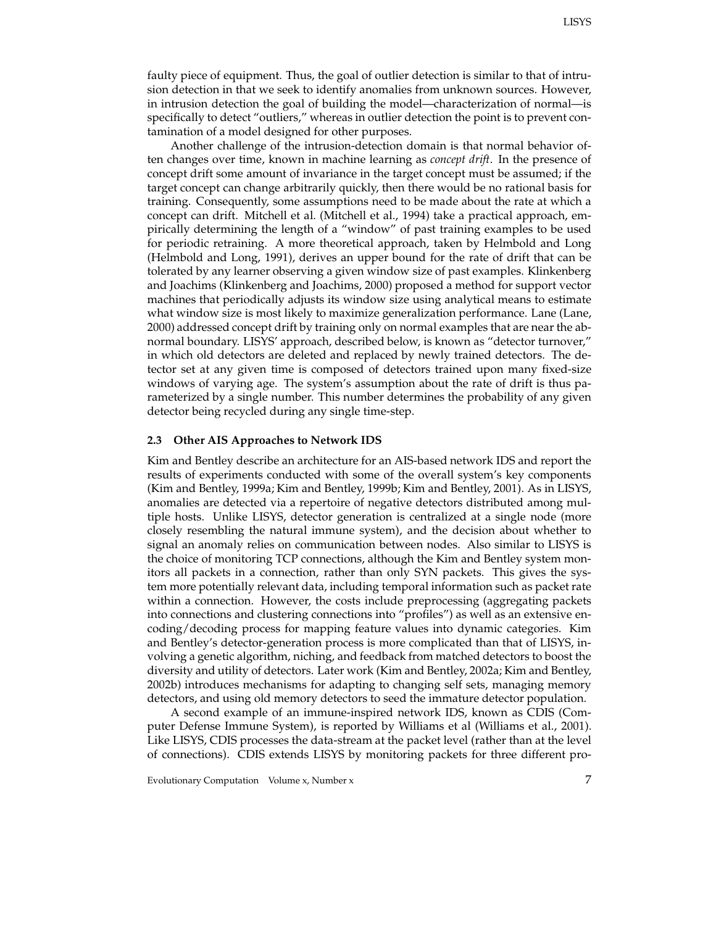faulty piece of equipment. Thus, the goal of outlier detection is similar to that of intrusion detection in that we seek to identify anomalies from unknown sources. However, in intrusion detection the goal of building the model—characterization of normal—is specifically to detect "outliers," whereas in outlier detection the point is to prevent contamination of a model designed for other purposes.

Another challenge of the intrusion-detection domain is that normal behavior often changes over time, known in machine learning as concept drift. In the presence of concept drift some amount of invariance in the target concept must be assumed; if the target concept can change arbitrarily quickly, then there would be no rational basis for training. Consequently, some assumptions need to be made about the rate at which a concept can drift. Mitchell et al. (Mitchell et al., 1994) take a practical approach, empirically determining the length of a "window" of past training examples to be used for periodic retraining. A more theoretical approach, taken by Helmbold and Long (Helmbold and Long, 1991), derives an upper bound for the rate of drift that can be tolerated by any learner observing a given window size of past examples. Klinkenberg and Joachims (Klinkenberg and Joachims, 2000) proposed a method for support vector machines that periodically adjusts its window size using analytical means to estimate what window size is most likely to maximize generalization performance. Lane (Lane, 2000) addressed concept drift by training only on normal examples that are near the abnormal boundary. LISYS' approach, described below, is known as "detector turnover," in which old detectors are deleted and replaced by newly trained detectors. The detector set at any given time is composed of detectors trained upon many fixed-size windows of varying age. The system's assumption about the rate of drift is thus parameterized by a single number. This number determines the probability of any given detector being recycled during any single time-step.

#### 2.3 Other AIS Approaches to Network IDS

Kim and Bentley describe an architecture for an AIS-based network IDS and report the results of experiments conducted with some of the overall system's key components (Kim and Bentley, 1999a; Kim and Bentley, 1999b; Kim and Bentley, 2001). As in LISYS, anomalies are detected via a repertoire of negative detectors distributed among multiple hosts. Unlike LISYS, detector generation is centralized at a single node (more closely resembling the natural immune system), and the decision about whether to signal an anomaly relies on communication between nodes. Also similar to LISYS is the choice of monitoring TCP connections, although the Kim and Bentley system monitors all packets in a connection, rather than only SYN packets. This gives the system more potentially relevant data, including temporal information such as packet rate within a connection. However, the costs include preprocessing (aggregating packets into connections and clustering connections into "profiles") as well as an extensive encoding/decoding process for mapping feature values into dynamic categories. Kim and Bentley's detector-generation process is more complicated than that of LISYS, involving a genetic algorithm, niching, and feedback from matched detectors to boost the diversity and utility of detectors. Later work (Kim and Bentley, 2002a; Kim and Bentley, 2002b) introduces mechanisms for adapting to changing self sets, managing memory detectors, and using old memory detectors to seed the immature detector population.

A second example of an immune-inspired network IDS, known as CDIS (Computer Defense Immune System), is reported by Williams et al (Williams et al., 2001). Like LISYS, CDIS processes the data-stream at the packet level (rather than at the level of connections). CDIS extends LISYS by monitoring packets for three different pro-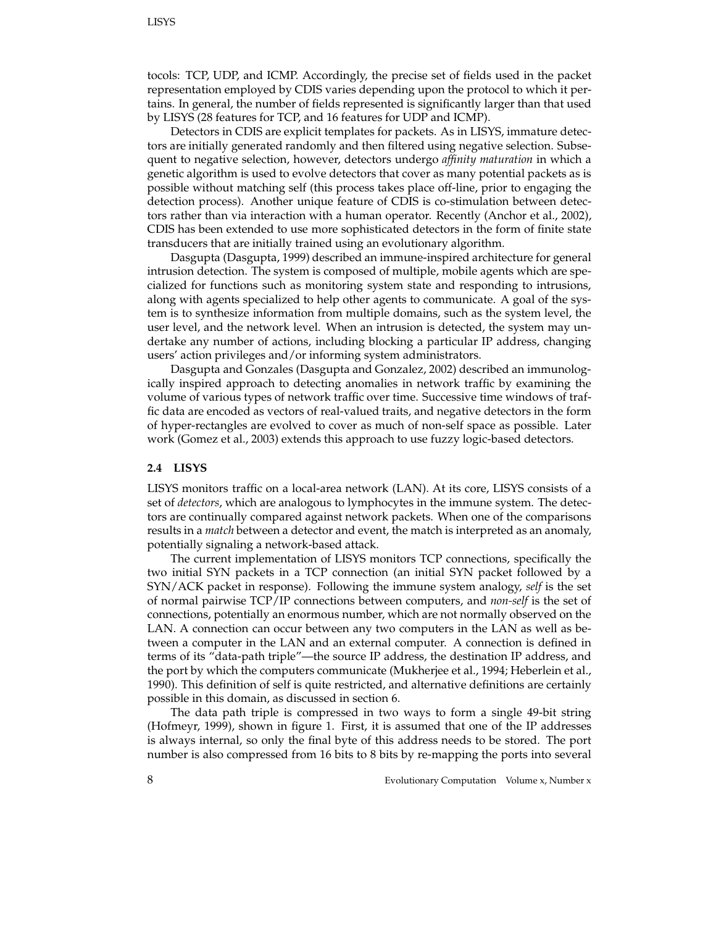tocols: TCP, UDP, and ICMP. Accordingly, the precise set of fields used in the packet representation employed by CDIS varies depending upon the protocol to which it pertains. In general, the number of fields represented is significantly larger than that used by LISYS (28 features for TCP, and 16 features for UDP and ICMP).

Detectors in CDIS are explicit templates for packets. As in LISYS, immature detectors are initially generated randomly and then filtered using negative selection. Subsequent to negative selection, however, detectors undergo *affinity maturation* in which a genetic algorithm is used to evolve detectors that cover as many potential packets as is possible without matching self (this process takes place off-line, prior to engaging the detection process). Another unique feature of CDIS is co-stimulation between detectors rather than via interaction with a human operator. Recently (Anchor et al., 2002), CDIS has been extended to use more sophisticated detectors in the form of finite state transducers that are initially trained using an evolutionary algorithm.

Dasgupta (Dasgupta, 1999) described an immune-inspired architecture for general intrusion detection. The system is composed of multiple, mobile agents which are specialized for functions such as monitoring system state and responding to intrusions, along with agents specialized to help other agents to communicate. A goal of the system is to synthesize information from multiple domains, such as the system level, the user level, and the network level. When an intrusion is detected, the system may undertake any number of actions, including blocking a particular IP address, changing users' action privileges and/or informing system administrators.

Dasgupta and Gonzales (Dasgupta and Gonzalez, 2002) described an immunologically inspired approach to detecting anomalies in network traffic by examining the volume of various types of network traffic over time. Successive time windows of traffic data are encoded as vectors of real-valued traits, and negative detectors in the form of hyper-rectangles are evolved to cover as much of non-self space as possible. Later work (Gomez et al., 2003) extends this approach to use fuzzy logic-based detectors.

# 2.4 LISYS

LISYS monitors traffic on a local-area network (LAN). At its core, LISYS consists of a set of detectors, which are analogous to lymphocytes in the immune system. The detectors are continually compared against network packets. When one of the comparisons results in a *match* between a detector and event, the match is interpreted as an anomaly, potentially signaling a network-based attack.

The current implementation of LISYS monitors TCP connections, specifically the two initial SYN packets in a TCP connection (an initial SYN packet followed by a SYN/ACK packet in response). Following the immune system analogy, self is the set of normal pairwise TCP/IP connections between computers, and non-self is the set of connections, potentially an enormous number, which are not normally observed on the LAN. A connection can occur between any two computers in the LAN as well as between a computer in the LAN and an external computer. A connection is defined in terms of its "data-path triple"—the source IP address, the destination IP address, and the port by which the computers communicate (Mukherjee et al., 1994; Heberlein et al., 1990). This definition of self is quite restricted, and alternative definitions are certainly possible in this domain, as discussed in section 6.

The data path triple is compressed in two ways to form a single 49-bit string (Hofmeyr, 1999), shown in figure 1. First, it is assumed that one of the IP addresses is always internal, so only the final byte of this address needs to be stored. The port number is also compressed from 16 bits to 8 bits by re-mapping the ports into several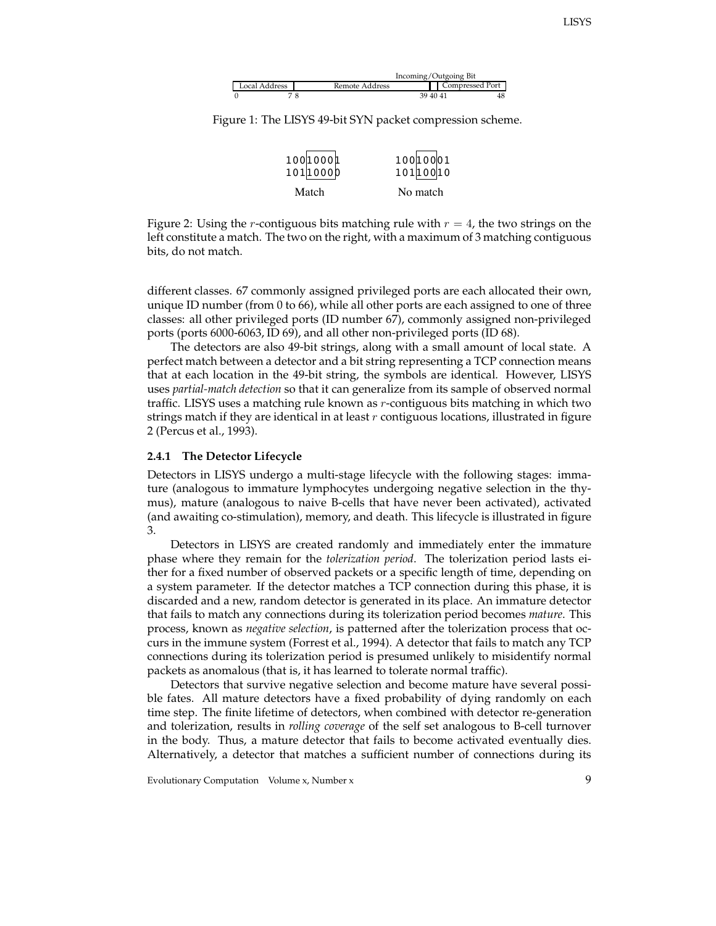

Figure 1: The LISYS 49-bit SYN packet compression scheme.



Figure 2: Using the *r*-contiguous bits matching rule with  $r = 4$ , the two strings on the left constitute a match. The two on the right, with a maximum of 3 matching contiguous bits, do not match.

different classes. 67 commonly assigned privileged ports are each allocated their own, unique ID number (from 0 to 66), while all other ports are each assigned to one of three classes: all other privileged ports (ID number 67), commonly assigned non-privileged ports (ports 6000-6063, ID 69), and all other non-privileged ports (ID 68).

The detectors are also 49-bit strings, along with a small amount of local state. A perfect match between a detector and a bit string representing a TCP connection means that at each location in the 49-bit string, the symbols are identical. However, LISYS uses *partial-match detection* so that it can generalize from its sample of observed normal traffic. LISYS uses a matching rule known as r-contiguous bits matching in which two strings match if they are identical in at least  $r$  contiguous locations, illustrated in figure 2 (Percus et al., 1993).

# 2.4.1 The Detector Lifecycle

Detectors in LISYS undergo a multi-stage lifecycle with the following stages: immature (analogous to immature lymphocytes undergoing negative selection in the thymus), mature (analogous to naive B-cells that have never been activated), activated (and awaiting co-stimulation), memory, and death. This lifecycle is illustrated in figure 3.

Detectors in LISYS are created randomly and immediately enter the immature phase where they remain for the tolerization period. The tolerization period lasts either for a fixed number of observed packets or a specific length of time, depending on a system parameter. If the detector matches a TCP connection during this phase, it is discarded and a new, random detector is generated in its place. An immature detector that fails to match any connections during its tolerization period becomes mature. This process, known as negative selection, is patterned after the tolerization process that occurs in the immune system (Forrest et al., 1994). A detector that fails to match any TCP connections during its tolerization period is presumed unlikely to misidentify normal packets as anomalous (that is, it has learned to tolerate normal traffic).

Detectors that survive negative selection and become mature have several possible fates. All mature detectors have a fixed probability of dying randomly on each time step. The finite lifetime of detectors, when combined with detector re-generation and tolerization, results in *rolling coverage* of the self set analogous to B-cell turnover in the body. Thus, a mature detector that fails to become activated eventually dies. Alternatively, a detector that matches a sufficient number of connections during its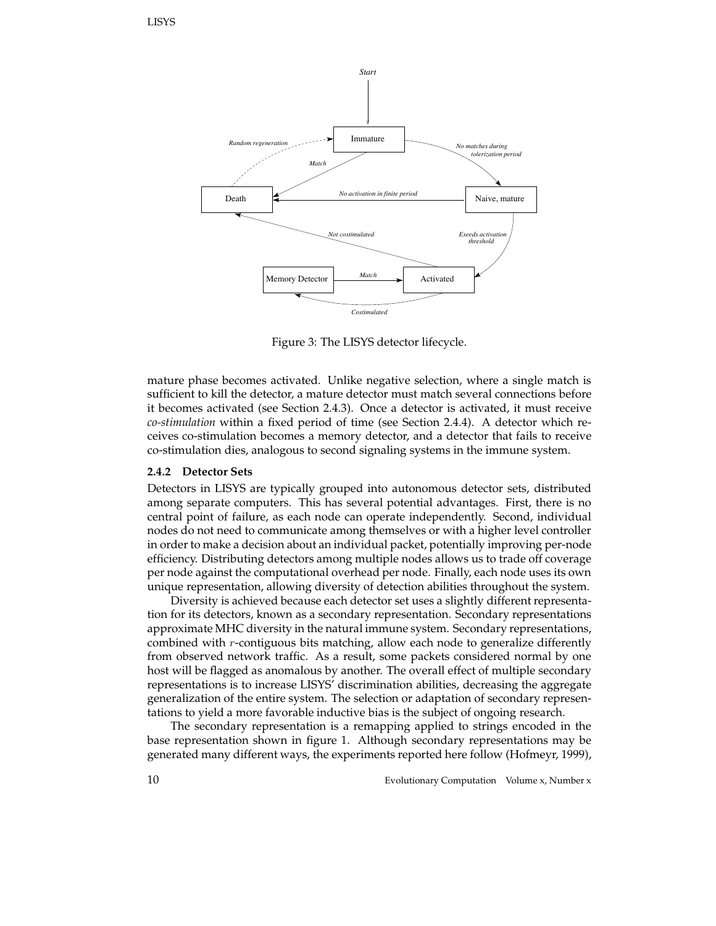

Figure 3: The LISYS detector lifecycle.

mature phase becomes activated. Unlike negative selection, where a single match is sufficient to kill the detector, a mature detector must match several connections before it becomes activated (see Section 2.4.3). Once a detector is activated, it must receive co-stimulation within a fixed period of time (see Section 2.4.4). A detector which receives co-stimulation becomes a memory detector, and a detector that fails to receive co-stimulation dies, analogous to second signaling systems in the immune system.

### 2.4.2 Detector Sets

Detectors in LISYS are typically grouped into autonomous detector sets, distributed among separate computers. This has several potential advantages. First, there is no central point of failure, as each node can operate independently. Second, individual nodes do not need to communicate among themselves or with a higher level controller in order to make a decision about an individual packet, potentially improving per-node efficiency. Distributing detectors among multiple nodes allows us to trade off coverage per node against the computational overhead per node. Finally, each node uses its own unique representation, allowing diversity of detection abilities throughout the system.

Diversity is achieved because each detector set uses a slightly different representation for its detectors, known as a secondary representation. Secondary representations approximate MHC diversity in the natural immune system. Secondary representations, combined with r-contiguous bits matching, allow each node to generalize differently from observed network traffic. As a result, some packets considered normal by one host will be flagged as anomalous by another. The overall effect of multiple secondary representations is to increase LISYS' discrimination abilities, decreasing the aggregate generalization of the entire system. The selection or adaptation of secondary representations to yield a more favorable inductive bias is the subject of ongoing research.

The secondary representation is a remapping applied to strings encoded in the base representation shown in figure 1. Although secondary representations may be generated many different ways, the experiments reported here follow (Hofmeyr, 1999),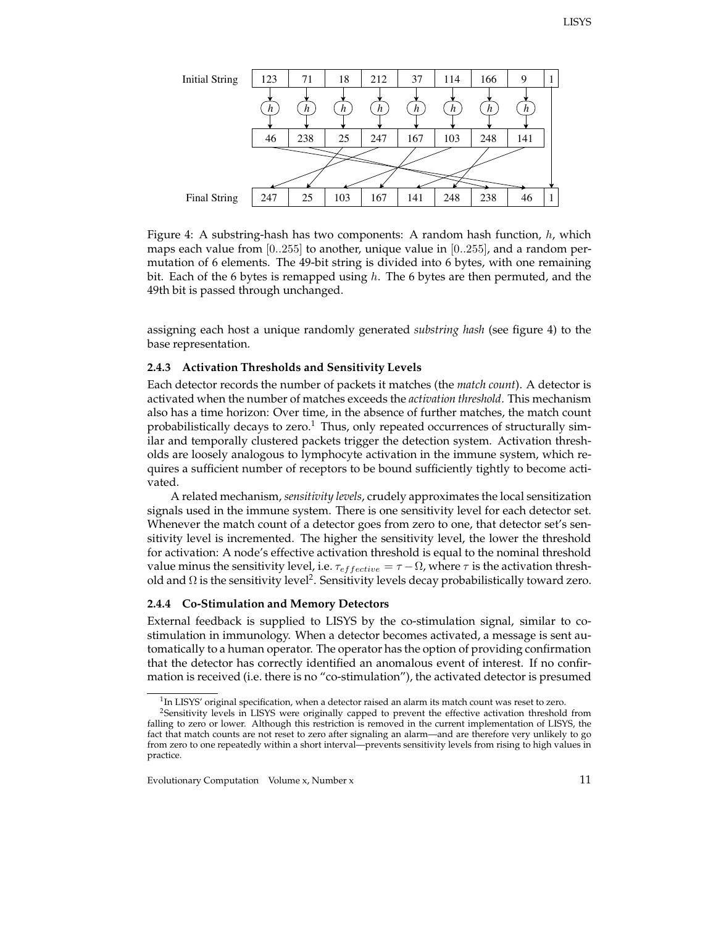

Figure 4: A substring-hash has two components: A random hash function,  $h$ , which maps each value from  $[0..255]$  to another, unique value in  $[0..255]$ , and a random permutation of 6 elements. The 49-bit string is divided into 6 bytes, with one remaining bit. Each of the 6 bytes is remapped using  $h$ . The 6 bytes are then permuted, and the 49th bit is passed through unchanged.

assigning each host a unique randomly generated substring hash (see figure 4) to the base representation.

# 2.4.3 Activation Thresholds and Sensitivity Levels

Each detector records the number of packets it matches (the match count). A detector is activated when the number of matches exceeds the activation threshold. This mechanism also has a time horizon: Over time, in the absence of further matches, the match count probabilistically decays to zero.<sup>1</sup> Thus, only repeated occurrences of structurally similar and temporally clustered packets trigger the detection system. Activation thresholds are loosely analogous to lymphocyte activation in the immune system, which requires a sufficient number of receptors to be bound sufficiently tightly to become activated.

A related mechanism, sensitivity levels, crudely approximates the local sensitization signals used in the immune system. There is one sensitivity level for each detector set. Whenever the match count of a detector goes from zero to one, that detector set's sensitivity level is incremented. The higher the sensitivity level, the lower the threshold for activation: A node's effective activation threshold is equal to the nominal threshold value minus the sensitivity level, i.e.  $\tau_{effective} = \tau - \Omega$ , where  $\tau$  is the activation threshold and  $\Omega$  is the sensitivity level<sup>2</sup>. Sensitivity levels decay probabilistically toward zero.

# 2.4.4 Co-Stimulation and Memory Detectors

External feedback is supplied to LISYS by the co-stimulation signal, similar to costimulation in immunology. When a detector becomes activated, a message is sent automatically to a human operator. The operator has the option of providing confirmation that the detector has correctly identified an anomalous event of interest. If no confirmation is received (i.e. there is no "co-stimulation"), the activated detector is presumed

 $1$ In LISYS' original specification, when a detector raised an alarm its match count was reset to zero.

<sup>&</sup>lt;sup>2</sup>Sensitivity levels in LISYS were originally capped to prevent the effective activation threshold from falling to zero or lower. Although this restriction is removed in the current implementation of LISYS, the fact that match counts are not reset to zero after signaling an alarm—and are therefore very unlikely to go from zero to one repeatedly within a short interval—prevents sensitivity levels from rising to high values in practice.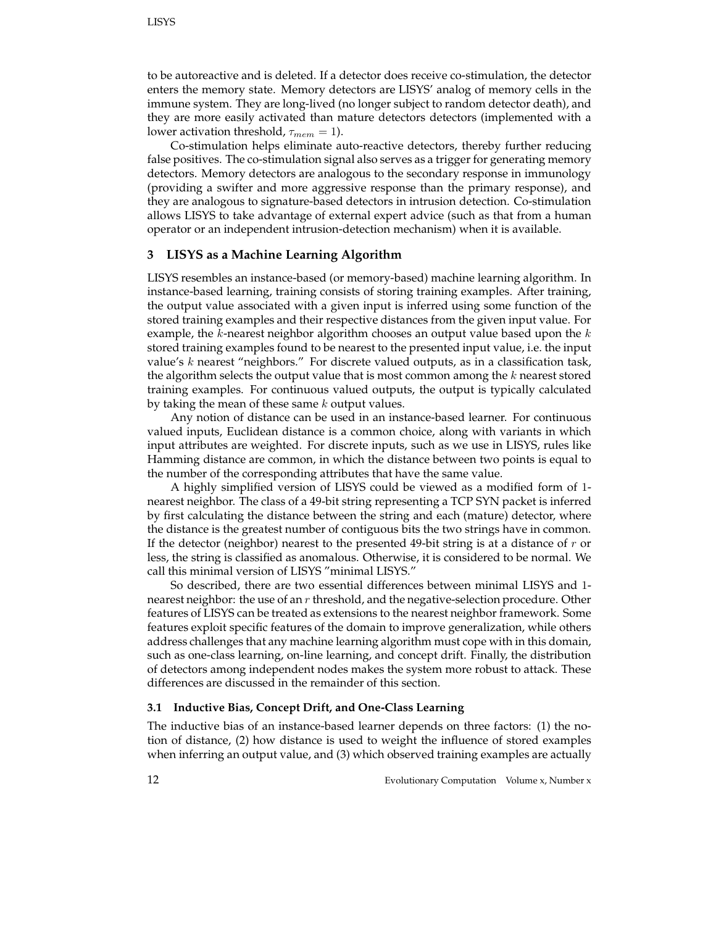to be autoreactive and is deleted. If a detector does receive co-stimulation, the detector enters the memory state. Memory detectors are LISYS' analog of memory cells in the immune system. They are long-lived (no longer subject to random detector death), and they are more easily activated than mature detectors detectors (implemented with a lower activation threshold,  $\tau_{mem} = 1$ ).

Co-stimulation helps eliminate auto-reactive detectors, thereby further reducing false positives. The co-stimulation signal also serves as a trigger for generating memory detectors. Memory detectors are analogous to the secondary response in immunology (providing a swifter and more aggressive response than the primary response), and they are analogous to signature-based detectors in intrusion detection. Co-stimulation allows LISYS to take advantage of external expert advice (such as that from a human operator or an independent intrusion-detection mechanism) when it is available.

# 3 LISYS as a Machine Learning Algorithm

LISYS resembles an instance-based (or memory-based) machine learning algorithm. In instance-based learning, training consists of storing training examples. After training, the output value associated with a given input is inferred using some function of the stored training examples and their respective distances from the given input value. For example, the  $k$ -nearest neighbor algorithm chooses an output value based upon the  $k$ stored training examples found to be nearest to the presented input value, i.e. the input value's  $k$  nearest "neighbors." For discrete valued outputs, as in a classification task, the algorithm selects the output value that is most common among the  $k$  nearest stored training examples. For continuous valued outputs, the output is typically calculated by taking the mean of these same  $k$  output values.

Any notion of distance can be used in an instance-based learner. For continuous valued inputs, Euclidean distance is a common choice, along with variants in which input attributes are weighted. For discrete inputs, such as we use in LISYS, rules like Hamming distance are common, in which the distance between two points is equal to the number of the corresponding attributes that have the same value.

A highly simplified version of LISYS could be viewed as a modified form of 1 nearest neighbor. The class of a 49-bit string representing a TCP SYN packet is inferred by first calculating the distance between the string and each (mature) detector, where the distance is the greatest number of contiguous bits the two strings have in common. If the detector (neighbor) nearest to the presented 49-bit string is at a distance of  $r$  or less, the string is classified as anomalous. Otherwise, it is considered to be normal. We call this minimal version of LISYS "minimal LISYS."

So described, there are two essential differences between minimal LISYS and 1 nearest neighbor: the use of an  $r$  threshold, and the negative-selection procedure. Other features of LISYS can be treated as extensions to the nearest neighbor framework. Some features exploit specific features of the domain to improve generalization, while others address challenges that any machine learning algorithm must cope with in this domain, such as one-class learning, on-line learning, and concept drift. Finally, the distribution of detectors among independent nodes makes the system more robust to attack. These differences are discussed in the remainder of this section.

# 3.1 Inductive Bias, Concept Drift, and One-Class Learning

The inductive bias of an instance-based learner depends on three factors: (1) the notion of distance, (2) how distance is used to weight the influence of stored examples when inferring an output value, and (3) which observed training examples are actually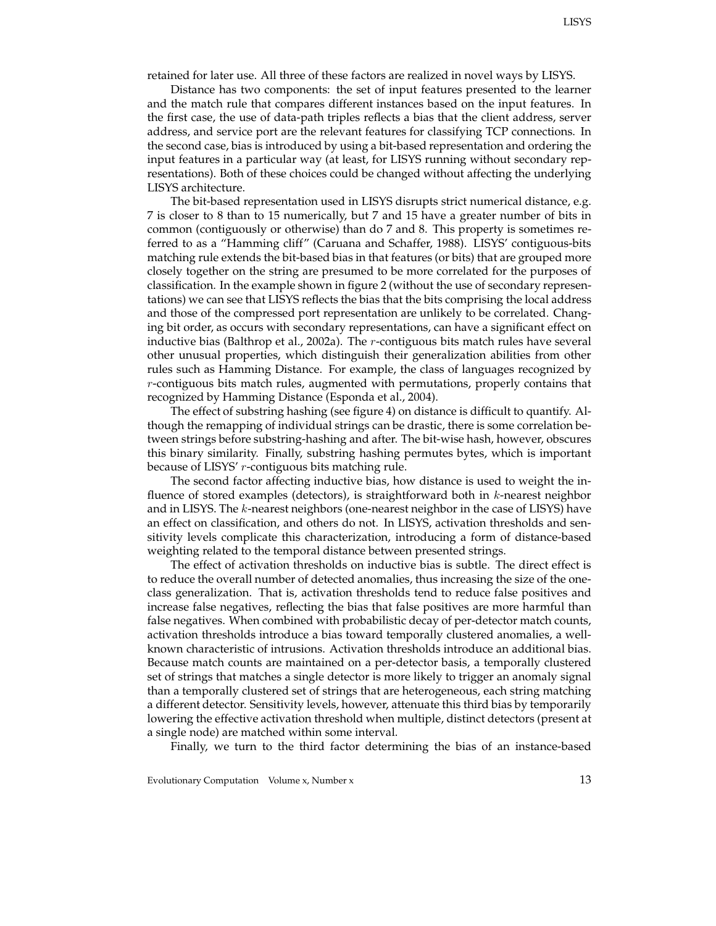retained for later use. All three of these factors are realized in novel ways by LISYS.

Distance has two components: the set of input features presented to the learner and the match rule that compares different instances based on the input features. In the first case, the use of data-path triples reflects a bias that the client address, server address, and service port are the relevant features for classifying TCP connections. In the second case, bias is introduced by using a bit-based representation and ordering the input features in a particular way (at least, for LISYS running without secondary representations). Both of these choices could be changed without affecting the underlying LISYS architecture.

The bit-based representation used in LISYS disrupts strict numerical distance, e.g. 7 is closer to 8 than to 15 numerically, but 7 and 15 have a greater number of bits in common (contiguously or otherwise) than do 7 and 8. This property is sometimes referred to as a "Hamming cliff" (Caruana and Schaffer, 1988). LISYS' contiguous-bits matching rule extends the bit-based bias in that features (or bits) that are grouped more closely together on the string are presumed to be more correlated for the purposes of classification. In the example shown in figure 2 (without the use of secondary representations) we can see that LISYS reflects the bias that the bits comprising the local address and those of the compressed port representation are unlikely to be correlated. Changing bit order, as occurs with secondary representations, can have a significant effect on inductive bias (Balthrop et al., 2002a). The  $r$ -contiguous bits match rules have several other unusual properties, which distinguish their generalization abilities from other rules such as Hamming Distance. For example, the class of languages recognized by r-contiguous bits match rules, augmented with permutations, properly contains that recognized by Hamming Distance (Esponda et al., 2004).

The effect of substring hashing (see figure 4) on distance is difficult to quantify. Although the remapping of individual strings can be drastic, there is some correlation between strings before substring-hashing and after. The bit-wise hash, however, obscures this binary similarity. Finally, substring hashing permutes bytes, which is important because of LISYS' r-contiguous bits matching rule.

The second factor affecting inductive bias, how distance is used to weight the influence of stored examples (detectors), is straightforward both in  $k$ -nearest neighbor and in LISYS. The k-nearest neighbors (one-nearest neighbor in the case of LISYS) have an effect on classification, and others do not. In LISYS, activation thresholds and sensitivity levels complicate this characterization, introducing a form of distance-based weighting related to the temporal distance between presented strings.

The effect of activation thresholds on inductive bias is subtle. The direct effect is to reduce the overall number of detected anomalies, thus increasing the size of the oneclass generalization. That is, activation thresholds tend to reduce false positives and increase false negatives, reflecting the bias that false positives are more harmful than false negatives. When combined with probabilistic decay of per-detector match counts, activation thresholds introduce a bias toward temporally clustered anomalies, a wellknown characteristic of intrusions. Activation thresholds introduce an additional bias. Because match counts are maintained on a per-detector basis, a temporally clustered set of strings that matches a single detector is more likely to trigger an anomaly signal than a temporally clustered set of strings that are heterogeneous, each string matching a different detector. Sensitivity levels, however, attenuate this third bias by temporarily lowering the effective activation threshold when multiple, distinct detectors (present at a single node) are matched within some interval.

Finally, we turn to the third factor determining the bias of an instance-based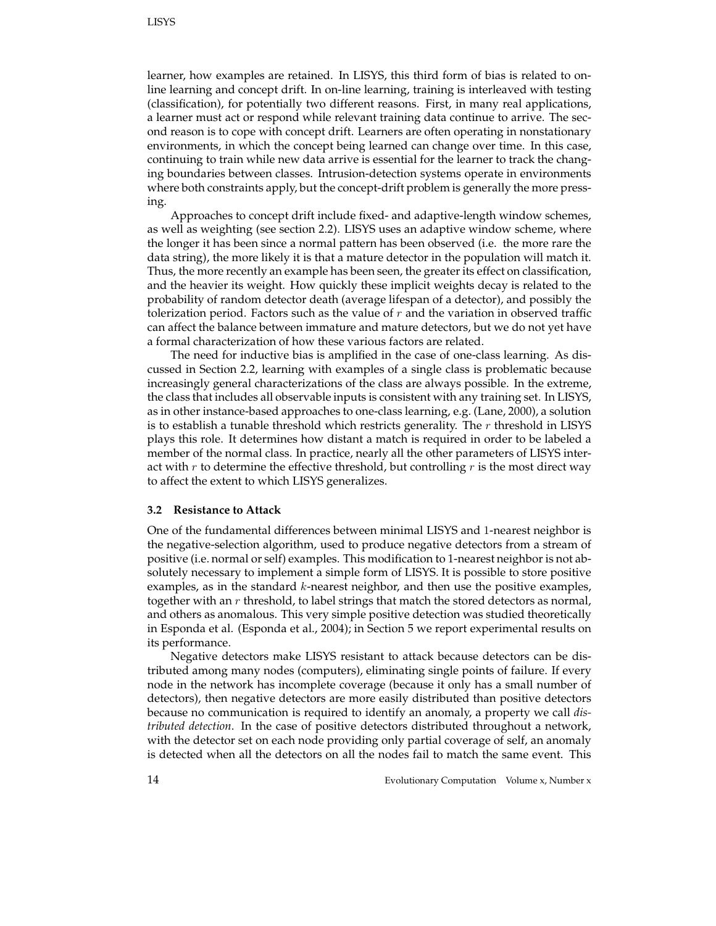learner, how examples are retained. In LISYS, this third form of bias is related to online learning and concept drift. In on-line learning, training is interleaved with testing (classification), for potentially two different reasons. First, in many real applications, a learner must act or respond while relevant training data continue to arrive. The second reason is to cope with concept drift. Learners are often operating in nonstationary environments, in which the concept being learned can change over time. In this case, continuing to train while new data arrive is essential for the learner to track the changing boundaries between classes. Intrusion-detection systems operate in environments where both constraints apply, but the concept-drift problem is generally the more pressing.

Approaches to concept drift include fixed- and adaptive-length window schemes, as well as weighting (see section 2.2). LISYS uses an adaptive window scheme, where the longer it has been since a normal pattern has been observed (i.e. the more rare the data string), the more likely it is that a mature detector in the population will match it. Thus, the more recently an example has been seen, the greaterits effect on classification, and the heavier its weight. How quickly these implicit weights decay is related to the probability of random detector death (average lifespan of a detector), and possibly the tolerization period. Factors such as the value of  $r$  and the variation in observed traffic can affect the balance between immature and mature detectors, but we do not yet have a formal characterization of how these various factors are related.

The need for inductive bias is amplified in the case of one-class learning. As discussed in Section 2.2, learning with examples of a single class is problematic because increasingly general characterizations of the class are always possible. In the extreme, the class that includes all observable inputs is consistent with any training set. In LISYS, as in other instance-based approaches to one-class learning, e.g. (Lane, 2000), a solution is to establish a tunable threshold which restricts generality. The  $r$  threshold in LISYS plays this role. It determines how distant a match is required in order to be labeled a member of the normal class. In practice, nearly all the other parameters of LISYS interact with  $r$  to determine the effective threshold, but controlling  $r$  is the most direct way to affect the extent to which LISYS generalizes.

#### 3.2 Resistance to Attack

One of the fundamental differences between minimal LISYS and 1-nearest neighbor is the negative-selection algorithm, used to produce negative detectors from a stream of positive (i.e. normal or self) examples. This modification to 1-nearest neighbor is not absolutely necessary to implement a simple form of LISYS. It is possible to store positive examples, as in the standard k-nearest neighbor, and then use the positive examples, together with an  $r$  threshold, to label strings that match the stored detectors as normal, and others as anomalous. This very simple positive detection was studied theoretically in Esponda et al. (Esponda et al., 2004); in Section 5 we report experimental results on its performance.

Negative detectors make LISYS resistant to attack because detectors can be distributed among many nodes (computers), eliminating single points of failure. If every node in the network has incomplete coverage (because it only has a small number of detectors), then negative detectors are more easily distributed than positive detectors because no communication is required to identify an anomaly, a property we call distributed detection. In the case of positive detectors distributed throughout a network, with the detector set on each node providing only partial coverage of self, an anomaly is detected when all the detectors on all the nodes fail to match the same event. This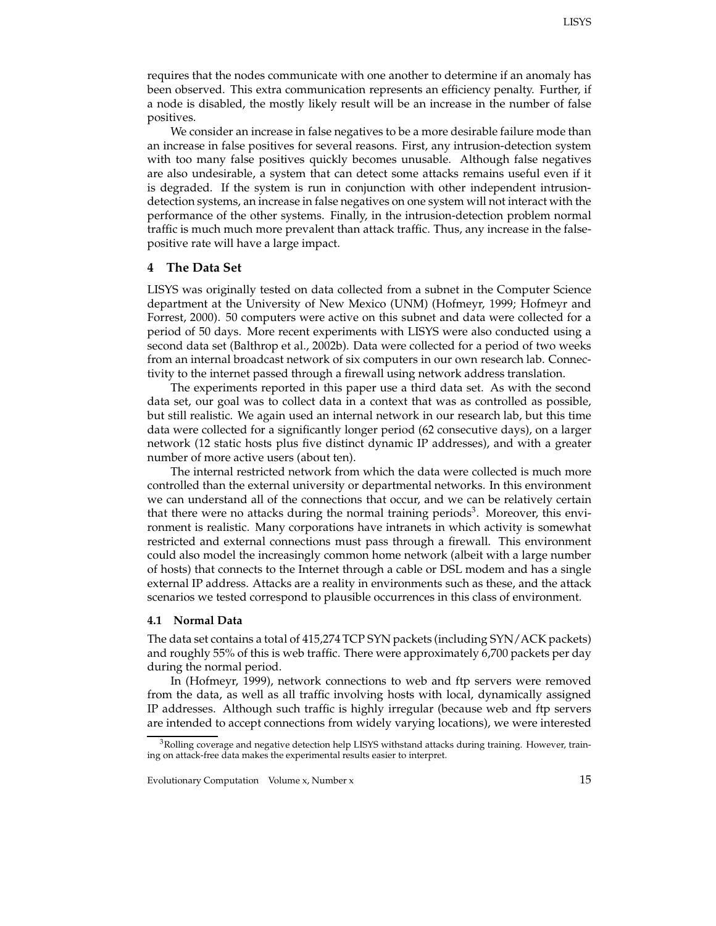requires that the nodes communicate with one another to determine if an anomaly has been observed. This extra communication represents an efficiency penalty. Further, if a node is disabled, the mostly likely result will be an increase in the number of false positives.

We consider an increase in false negatives to be a more desirable failure mode than an increase in false positives for several reasons. First, any intrusion-detection system with too many false positives quickly becomes unusable. Although false negatives are also undesirable, a system that can detect some attacks remains useful even if it is degraded. If the system is run in conjunction with other independent intrusiondetection systems, an increase in false negatives on one system will not interact with the performance of the other systems. Finally, in the intrusion-detection problem normal traffic is much much more prevalent than attack traffic. Thus, any increase in the falsepositive rate will have a large impact.

# 4 The Data Set

LISYS was originally tested on data collected from a subnet in the Computer Science department at the University of New Mexico (UNM) (Hofmeyr, 1999; Hofmeyr and Forrest, 2000). 50 computers were active on this subnet and data were collected for a period of 50 days. More recent experiments with LISYS were also conducted using a second data set (Balthrop et al., 2002b). Data were collected for a period of two weeks from an internal broadcast network of six computers in our own research lab. Connectivity to the internet passed through a firewall using network address translation.

The experiments reported in this paper use a third data set. As with the second data set, our goal was to collect data in a context that was as controlled as possible, but still realistic. We again used an internal network in our research lab, but this time data were collected for a significantly longer period (62 consecutive days), on a larger network (12 static hosts plus five distinct dynamic IP addresses), and with a greater number of more active users (about ten).

The internal restricted network from which the data were collected is much more controlled than the external university or departmental networks. In this environment we can understand all of the connections that occur, and we can be relatively certain that there were no attacks during the normal training periods<sup>3</sup>. Moreover, this environment is realistic. Many corporations have intranets in which activity is somewhat restricted and external connections must pass through a firewall. This environment could also model the increasingly common home network (albeit with a large number of hosts) that connects to the Internet through a cable or DSL modem and has a single external IP address. Attacks are a reality in environments such as these, and the attack scenarios we tested correspond to plausible occurrences in this class of environment.

#### 4.1 Normal Data

The data set contains a total of 415,274 TCP SYN packets (including SYN/ACK packets) and roughly 55% of this is web traffic. There were approximately 6,700 packets per day during the normal period.

In (Hofmeyr, 1999), network connections to web and ftp servers were removed from the data, as well as all traffic involving hosts with local, dynamically assigned IP addresses. Although such traffic is highly irregular (because web and ftp servers are intended to accept connections from widely varying locations), we were interested

<sup>&</sup>lt;sup>3</sup>Rolling coverage and negative detection help LISYS withstand attacks during training. However, training on attack-free data makes the experimental results easier to interpret.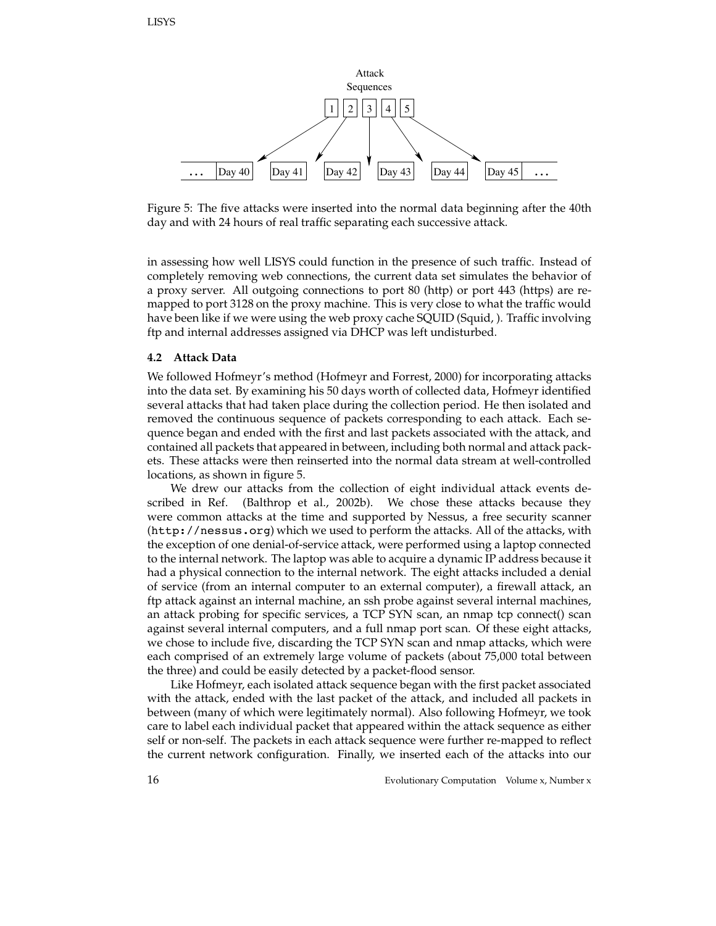

Figure 5: The five attacks were inserted into the normal data beginning after the 40th day and with 24 hours of real traffic separating each successive attack.

in assessing how well LISYS could function in the presence of such traffic. Instead of completely removing web connections, the current data set simulates the behavior of a proxy server. All outgoing connections to port 80 (http) or port 443 (https) are remapped to port 3128 on the proxy machine. This is very close to what the traffic would have been like if we were using the web proxy cache SQUID (Squid, ). Traffic involving ftp and internal addresses assigned via DHCP was left undisturbed.

# 4.2 Attack Data

We followed Hofmeyr's method (Hofmeyr and Forrest, 2000) for incorporating attacks into the data set. By examining his 50 days worth of collected data, Hofmeyr identified several attacks that had taken place during the collection period. He then isolated and removed the continuous sequence of packets corresponding to each attack. Each sequence began and ended with the first and last packets associated with the attack, and contained all packets that appeared in between, including both normal and attack packets. These attacks were then reinserted into the normal data stream at well-controlled locations, as shown in figure 5.

We drew our attacks from the collection of eight individual attack events described in Ref. (Balthrop et al., 2002b). We chose these attacks because they were common attacks at the time and supported by Nessus, a free security scanner (http://nessus.org) which we used to perform the attacks. All of the attacks, with the exception of one denial-of-service attack, were performed using a laptop connected to the internal network. The laptop was able to acquire a dynamic IP address because it had a physical connection to the internal network. The eight attacks included a denial of service (from an internal computer to an external computer), a firewall attack, an ftp attack against an internal machine, an ssh probe against several internal machines, an attack probing for specific services, a TCP SYN scan, an nmap tcp connect() scan against several internal computers, and a full nmap port scan. Of these eight attacks, we chose to include five, discarding the TCP SYN scan and nmap attacks, which were each comprised of an extremely large volume of packets (about 75,000 total between the three) and could be easily detected by a packet-flood sensor.

Like Hofmeyr, each isolated attack sequence began with the first packet associated with the attack, ended with the last packet of the attack, and included all packets in between (many of which were legitimately normal). Also following Hofmeyr, we took care to label each individual packet that appeared within the attack sequence as either self or non-self. The packets in each attack sequence were further re-mapped to reflect the current network configuration. Finally, we inserted each of the attacks into our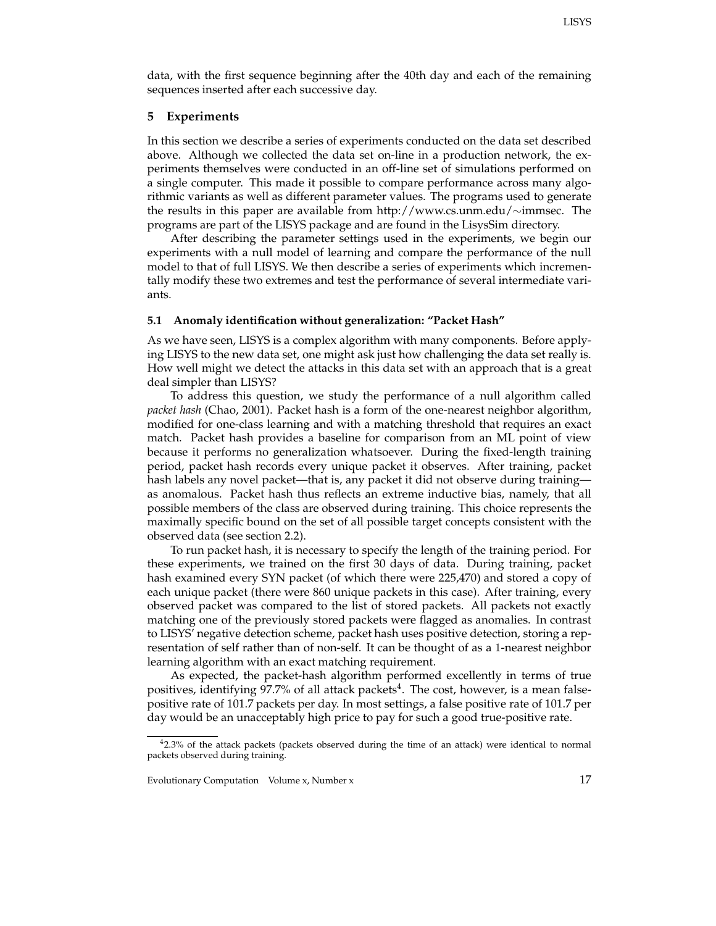data, with the first sequence beginning after the 40th day and each of the remaining sequences inserted after each successive day.

## 5 Experiments

In this section we describe a series of experiments conducted on the data set described above. Although we collected the data set on-line in a production network, the experiments themselves were conducted in an off-line set of simulations performed on a single computer. This made it possible to compare performance across many algorithmic variants as well as different parameter values. The programs used to generate the results in this paper are available from http://www.cs.unm.edu/∼immsec. The programs are part of the LISYS package and are found in the LisysSim directory.

After describing the parameter settings used in the experiments, we begin our experiments with a null model of learning and compare the performance of the null model to that of full LISYS. We then describe a series of experiments which incrementally modify these two extremes and test the performance of several intermediate variants.

### 5.1 Anomaly identification without generalization: "Packet Hash"

As we have seen, LISYS is a complex algorithm with many components. Before applying LISYS to the new data set, one might ask just how challenging the data set really is. How well might we detect the attacks in this data set with an approach that is a great deal simpler than LISYS?

To address this question, we study the performance of a null algorithm called packet hash (Chao, 2001). Packet hash is a form of the one-nearest neighbor algorithm, modified for one-class learning and with a matching threshold that requires an exact match. Packet hash provides a baseline for comparison from an ML point of view because it performs no generalization whatsoever. During the fixed-length training period, packet hash records every unique packet it observes. After training, packet hash labels any novel packet—that is, any packet it did not observe during training as anomalous. Packet hash thus reflects an extreme inductive bias, namely, that all possible members of the class are observed during training. This choice represents the maximally specific bound on the set of all possible target concepts consistent with the observed data (see section 2.2).

To run packet hash, it is necessary to specify the length of the training period. For these experiments, we trained on the first 30 days of data. During training, packet hash examined every SYN packet (of which there were 225,470) and stored a copy of each unique packet (there were 860 unique packets in this case). After training, every observed packet was compared to the list of stored packets. All packets not exactly matching one of the previously stored packets were flagged as anomalies. In contrast to LISYS' negative detection scheme, packet hash uses positive detection, storing a representation of self rather than of non-self. It can be thought of as a 1-nearest neighbor learning algorithm with an exact matching requirement.

As expected, the packet-hash algorithm performed excellently in terms of true positives, identifying 97.7% of all attack packets<sup>4</sup>. The cost, however, is a mean falsepositive rate of 101.7 packets per day. In most settings, a false positive rate of 101.7 per day would be an unacceptably high price to pay for such a good true-positive rate.

<sup>42.3%</sup> of the attack packets (packets observed during the time of an attack) were identical to normal packets observed during training.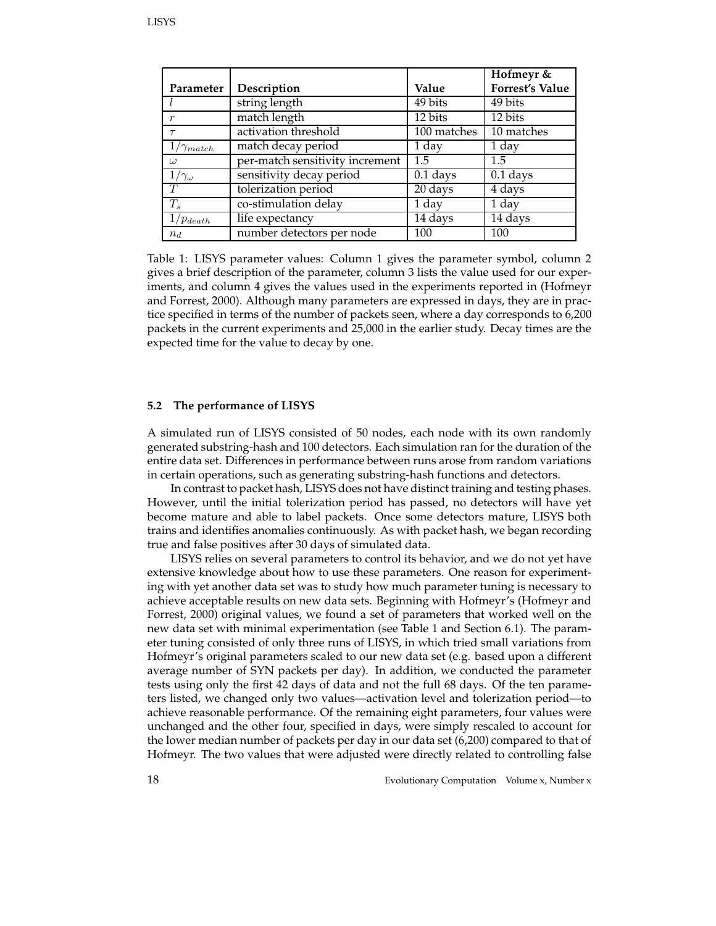|                    |                                 |             | Hofmeyr &              |
|--------------------|---------------------------------|-------------|------------------------|
| Parameter          | Description                     | Value       | <b>Forrest's Value</b> |
|                    | string length                   | 49 bits     | 49 bits                |
|                    | match length                    | 12 bits     | 12 bits                |
|                    | activation threshold            | 100 matches | 10 matches             |
| $1/\gamma_{match}$ | match decay period              | 1 day       | $\overline{1}$ day     |
| $\omega$           | per-match sensitivity increment | 1.5         | 1.5                    |
| $1/\gamma_\omega$  | sensitivity decay period        | $0.1$ days  | $0.1$ days             |
| T                  | tolerization period             | 20 days     | 4 days                 |
| $T_s$              | co-stimulation delay            | 1 day       | 1 day                  |
| $1/p_{death}$      | life expectancy                 | 14 days     | 14 days                |
| $n_d$              | number detectors per node       | 100         | 100                    |

Table 1: LISYS parameter values: Column 1 gives the parameter symbol, column 2 gives a brief description of the parameter, column 3 lists the value used for our experiments, and column 4 gives the values used in the experiments reported in (Hofmeyr and Forrest, 2000). Although many parameters are expressed in days, they are in practice specified in terms of the number of packets seen, where a day corresponds to 6,200 packets in the current experiments and 25,000 in the earlier study. Decay times are the expected time for the value to decay by one.

#### 5.2 The performance of LISYS

A simulated run of LISYS consisted of 50 nodes, each node with its own randomly generated substring-hash and 100 detectors. Each simulation ran forthe duration of the entire data set. Differences in performance between runs arose from random variations in certain operations, such as generating substring-hash functions and detectors.

In contrast to packet hash, LISYS does not have distinct training and testing phases. However, until the initial tolerization period has passed, no detectors will have yet become mature and able to label packets. Once some detectors mature, LISYS both trains and identifies anomalies continuously. As with packet hash, we began recording true and false positives after 30 days of simulated data.

LISYS relies on several parameters to control its behavior, and we do not yet have extensive knowledge about how to use these parameters. One reason for experimenting with yet another data set was to study how much parameter tuning is necessary to achieve acceptable results on new data sets. Beginning with Hofmeyr's (Hofmeyr and Forrest, 2000) original values, we found a set of parameters that worked well on the new data set with minimal experimentation (see Table 1 and Section 6.1). The parameter tuning consisted of only three runs of LISYS, in which tried small variations from Hofmeyr's original parameters scaled to our new data set (e.g. based upon a different average number of SYN packets per day). In addition, we conducted the parameter tests using only the first 42 days of data and not the full 68 days. Of the ten parameters listed, we changed only two values—activation level and tolerization period—to achieve reasonable performance. Of the remaining eight parameters, four values were unchanged and the other four, specified in days, were simply rescaled to account for the lower median number of packets per day in our data set (6,200) compared to that of Hofmeyr. The two values that were adjusted were directly related to controlling false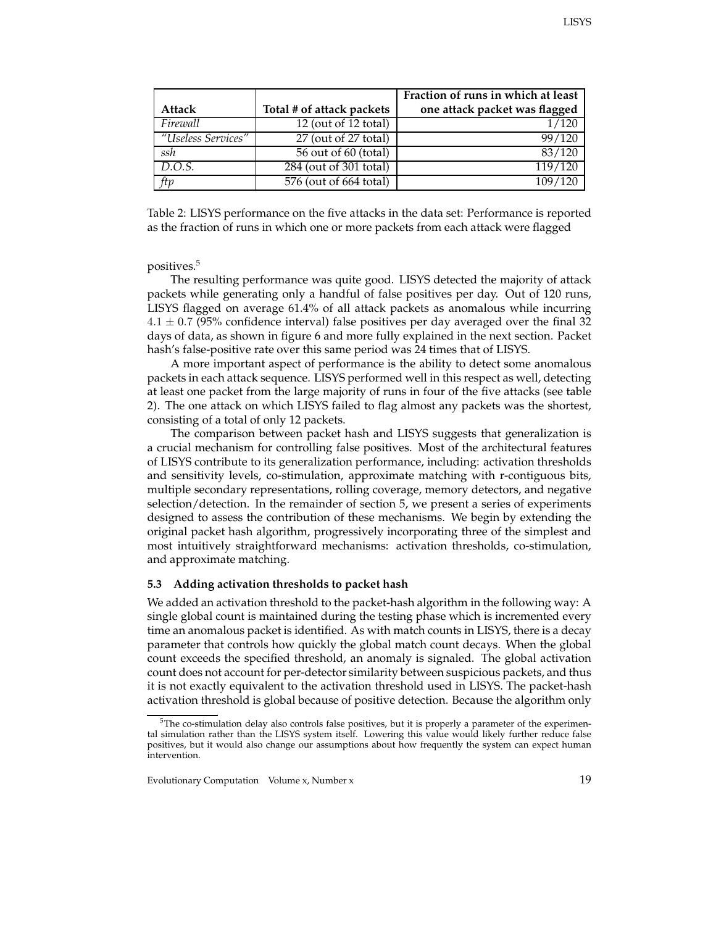Table 2: LISYS performance on the five attacks in the data set: Performance is reported as the fraction of runs in which one or more packets from each attack were flagged

positives. 5

The resulting performance was quite good. LISYS detected the majority of attack packets while generating only a handful of false positives per day. Out of 120 runs, LISYS flagged on average 61.4% of all attack packets as anomalous while incurring  $4.1 \pm 0.7$  (95% confidence interval) false positives per day averaged over the final 32 days of data, as shown in figure 6 and more fully explained in the next section. Packet hash's false-positive rate over this same period was 24 times that of LISYS.

A more important aspect of performance is the ability to detect some anomalous packets in each attack sequence. LISYS performed well in this respect as well, detecting at least one packet from the large majority of runs in four of the five attacks (see table 2). The one attack on which LISYS failed to flag almost any packets was the shortest, consisting of a total of only 12 packets.

The comparison between packet hash and LISYS suggests that generalization is a crucial mechanism for controlling false positives. Most of the architectural features of LISYS contribute to its generalization performance, including: activation thresholds and sensitivity levels, co-stimulation, approximate matching with r-contiguous bits, multiple secondary representations, rolling coverage, memory detectors, and negative selection/detection. In the remainder of section 5, we present a series of experiments designed to assess the contribution of these mechanisms. We begin by extending the original packet hash algorithm, progressively incorporating three of the simplest and most intuitively straightforward mechanisms: activation thresholds, co-stimulation, and approximate matching.

# 5.3 Adding activation thresholds to packet hash

We added an activation threshold to the packet-hash algorithm in the following way: A single global count is maintained during the testing phase which is incremented every time an anomalous packet is identified. As with match counts in LISYS, there is a decay parameter that controls how quickly the global match count decays. When the global count exceeds the specified threshold, an anomaly is signaled. The global activation count does not account for per-detector similarity between suspicious packets, and thus it is not exactly equivalent to the activation threshold used in LISYS. The packet-hash activation threshold is global because of positive detection. Because the algorithm only

 $5$ The co-stimulation delay also controls false positives, but it is properly a parameter of the experimental simulation rather than the LISYS system itself. Lowering this value would likely further reduce false positives, but it would also change our assumptions about how frequently the system can expect human intervention.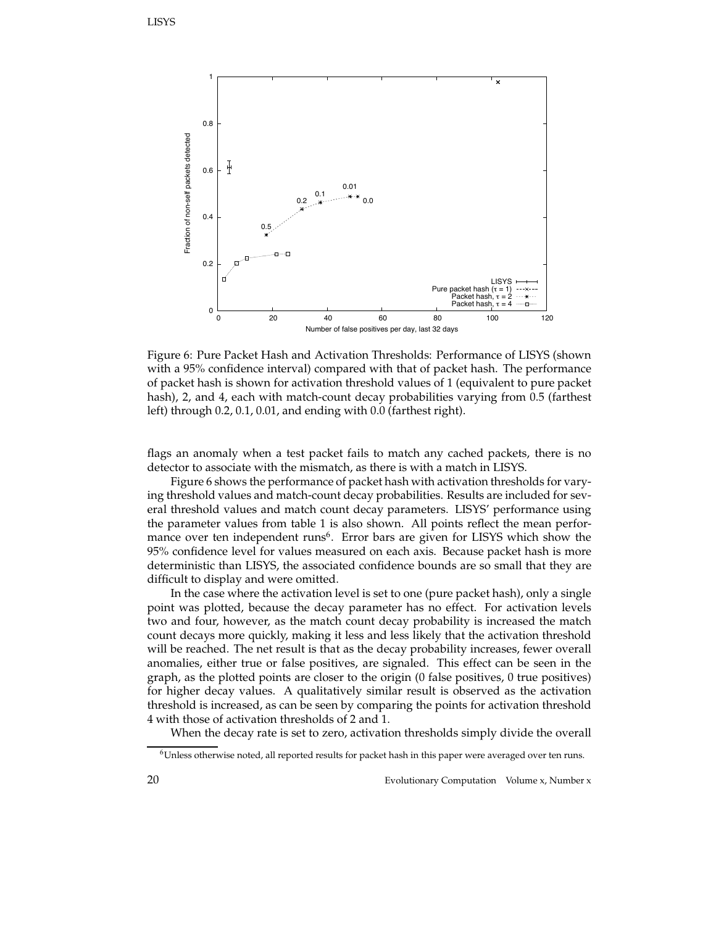

Figure 6: Pure Packet Hash and Activation Thresholds: Performance of LISYS (shown with a 95% confidence interval) compared with that of packet hash. The performance of packet hash is shown for activation threshold values of 1 (equivalent to pure packet hash), 2, and 4, each with match-count decay probabilities varying from 0.5 (farthest left) through 0.2, 0.1, 0.01, and ending with 0.0 (farthest right).

flags an anomaly when a test packet fails to match any cached packets, there is no detector to associate with the mismatch, as there is with a match in LISYS.

Figure 6 shows the performance of packet hash with activation thresholds for varying threshold values and match-count decay probabilities. Results are included for several threshold values and match count decay parameters. LISYS' performance using the parameter values from table 1 is also shown. All points reflect the mean performance over ten independent runs<sup>6</sup>. Error bars are given for LISYS which show the 95% confidence level for values measured on each axis. Because packet hash is more deterministic than LISYS, the associated confidence bounds are so small that they are difficult to display and were omitted.

In the case where the activation level is set to one (pure packet hash), only a single point was plotted, because the decay parameter has no effect. For activation levels two and four, however, as the match count decay probability is increased the match count decays more quickly, making it less and less likely that the activation threshold will be reached. The net result is that as the decay probability increases, fewer overall anomalies, either true or false positives, are signaled. This effect can be seen in the graph, as the plotted points are closer to the origin (0 false positives, 0 true positives) for higher decay values. A qualitatively similar result is observed as the activation threshold is increased, as can be seen by comparing the points for activation threshold 4 with those of activation thresholds of 2 and 1.

When the decay rate is set to zero, activation thresholds simply divide the overall

<sup>6</sup>Unless otherwise noted, all reported results for packet hash in this paper were averaged over ten runs.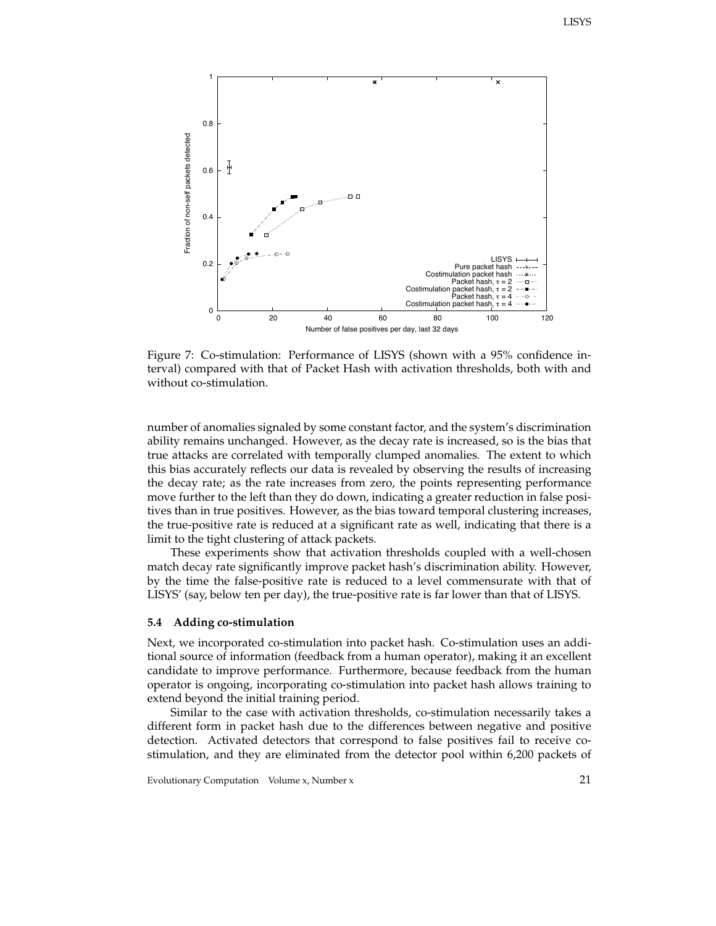

Figure 7: Co-stimulation: Performance of LISYS (shown with a 95% confidence interval) compared with that of Packet Hash with activation thresholds, both with and without co-stimulation.

number of anomalies signaled by some constant factor, and the system's discrimination ability remains unchanged. However, as the decay rate is increased, so is the bias that true attacks are correlated with temporally clumped anomalies. The extent to which this bias accurately reflects our data is revealed by observing the results of increasing the decay rate; as the rate increases from zero, the points representing performance move further to the left than they do down, indicating a greater reduction in false positives than in true positives. However, as the bias toward temporal clustering increases, the true-positive rate is reduced at a significant rate as well, indicating that there is a limit to the tight clustering of attack packets.

These experiments show that activation thresholds coupled with a well-chosen match decay rate significantly improve packet hash's discrimination ability. However, by the time the false-positive rate is reduced to a level commensurate with that of LISYS' (say, below ten per day), the true-positive rate is far lower than that of LISYS.

### 5.4 Adding co-stimulation

Next, we incorporated co-stimulation into packet hash. Co-stimulation uses an additional source of information (feedback from a human operator), making it an excellent candidate to improve performance. Furthermore, because feedback from the human operator is ongoing, incorporating co-stimulation into packet hash allows training to extend beyond the initial training period.

Similar to the case with activation thresholds, co-stimulation necessarily takes a different form in packet hash due to the differences between negative and positive detection. Activated detectors that correspond to false positives fail to receive costimulation, and they are eliminated from the detector pool within 6,200 packets of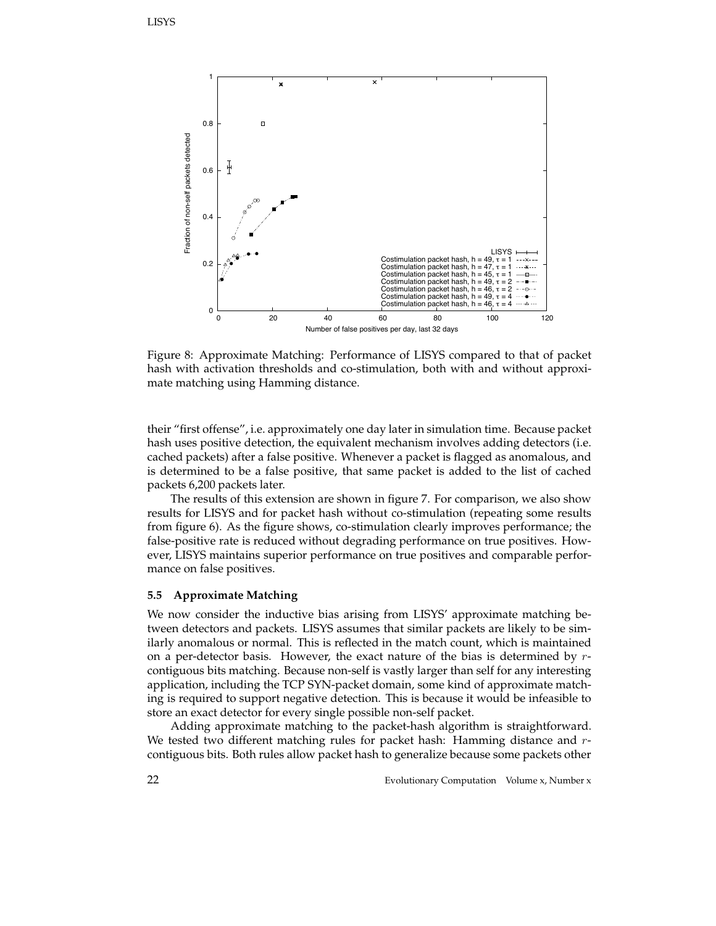

Figure 8: Approximate Matching: Performance of LISYS compared to that of packet hash with activation thresholds and co-stimulation, both with and without approximate matching using Hamming distance.

their "first offense", i.e. approximately one day later in simulation time. Because packet hash uses positive detection, the equivalent mechanism involves adding detectors (i.e. cached packets) after a false positive. Whenever a packet is flagged as anomalous, and is determined to be a false positive, that same packet is added to the list of cached packets 6,200 packets later.

The results of this extension are shown in figure 7. For comparison, we also show results for LISYS and for packet hash without co-stimulation (repeating some results from figure 6). As the figure shows, co-stimulation clearly improves performance; the false-positive rate is reduced without degrading performance on true positives. However, LISYS maintains superior performance on true positives and comparable performance on false positives.

### 5.5 Approximate Matching

We now consider the inductive bias arising from LISYS' approximate matching between detectors and packets. LISYS assumes that similar packets are likely to be similarly anomalous or normal. This is reflected in the match count, which is maintained on a per-detector basis. However, the exact nature of the bias is determined by  $r$ contiguous bits matching. Because non-self is vastly larger than self for any interesting application, including the TCP SYN-packet domain, some kind of approximate matching is required to support negative detection. This is because it would be infeasible to store an exact detector for every single possible non-self packet.

Adding approximate matching to the packet-hash algorithm is straightforward. We tested two different matching rules for packet hash: Hamming distance and  $r$ contiguous bits. Both rules allow packet hash to generalize because some packets other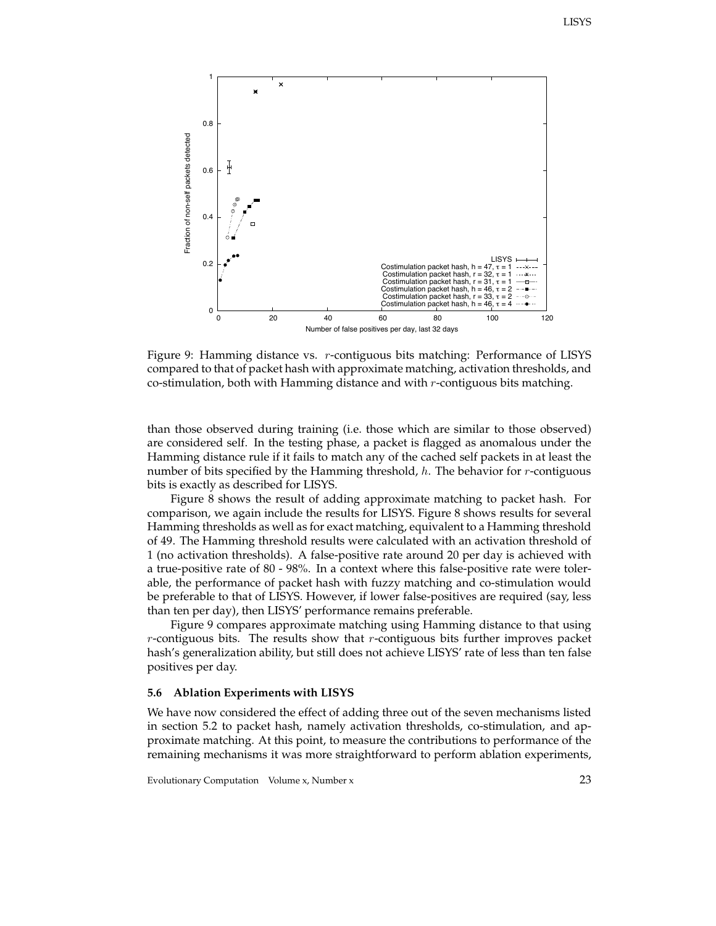

Figure 9: Hamming distance vs. r-contiguous bits matching: Performance of LISYS compared to that of packet hash with approximate matching, activation thresholds, and co-stimulation, both with Hamming distance and with r-contiguous bits matching.

than those observed during training (i.e. those which are similar to those observed) are considered self. In the testing phase, a packet is flagged as anomalous under the Hamming distance rule if it fails to match any of the cached self packets in at least the number of bits specified by the Hamming threshold,  $h$ . The behavior for r-contiguous bits is exactly as described for LISYS.

Figure 8 shows the result of adding approximate matching to packet hash. For comparison, we again include the results for LISYS. Figure 8 shows results for several Hamming thresholds as well as for exact matching, equivalent to a Hamming threshold of 49. The Hamming threshold results were calculated with an activation threshold of 1 (no activation thresholds). A false-positive rate around 20 per day is achieved with a true-positive rate of 80 - 98%. In a context where this false-positive rate were tolerable, the performance of packet hash with fuzzy matching and co-stimulation would be preferable to that of LISYS. However, if lower false-positives are required (say, less than ten per day), then LISYS' performance remains preferable.

Figure 9 compares approximate matching using Hamming distance to that using  $r$ -contiguous bits. The results show that  $r$ -contiguous bits further improves packet hash's generalization ability, but still does not achieve LISYS' rate of less than ten false positives per day.

#### 5.6 Ablation Experiments with LISYS

We have now considered the effect of adding three out of the seven mechanisms listed in section 5.2 to packet hash, namely activation thresholds, co-stimulation, and approximate matching. At this point, to measure the contributions to performance of the remaining mechanisms it was more straightforward to perform ablation experiments,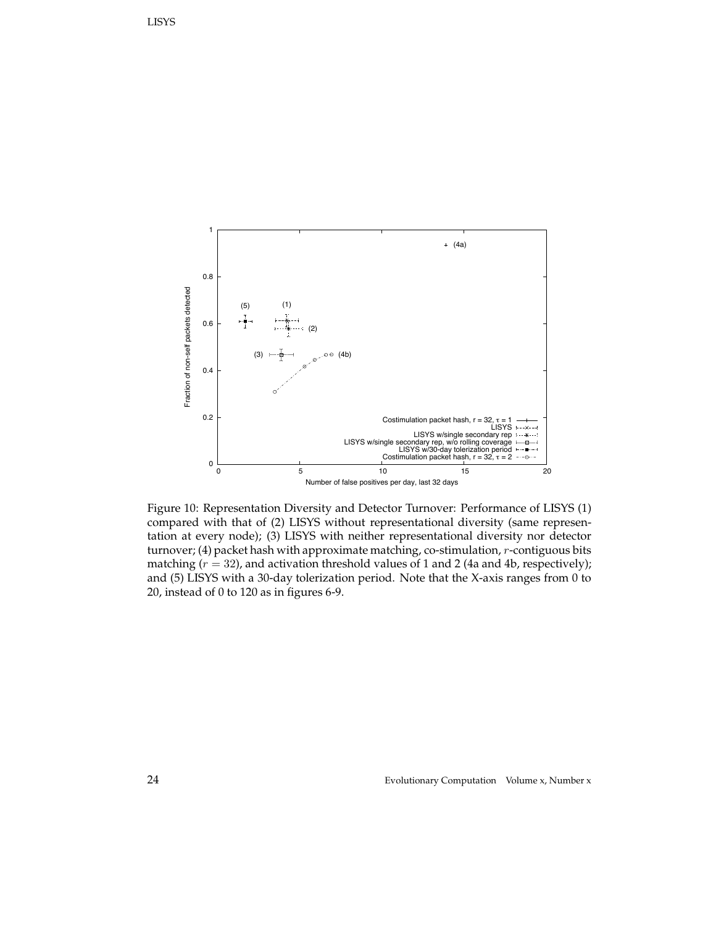

Figure 10: Representation Diversity and Detector Turnover: Performance of LISYS (1) compared with that of (2) LISYS without representational diversity (same representation at every node); (3) LISYS with neither representational diversity nor detector turnover; (4) packet hash with approximate matching, co-stimulation, r-contiguous bits matching  $(r = 32)$ , and activation threshold values of 1 and 2 (4a and 4b, respectively); and (5) LISYS with a 30-day tolerization period. Note that the X-axis ranges from 0 to 20, instead of 0 to 120 as in figures 6-9.

24 Evolutionary Computation Volume x, Number x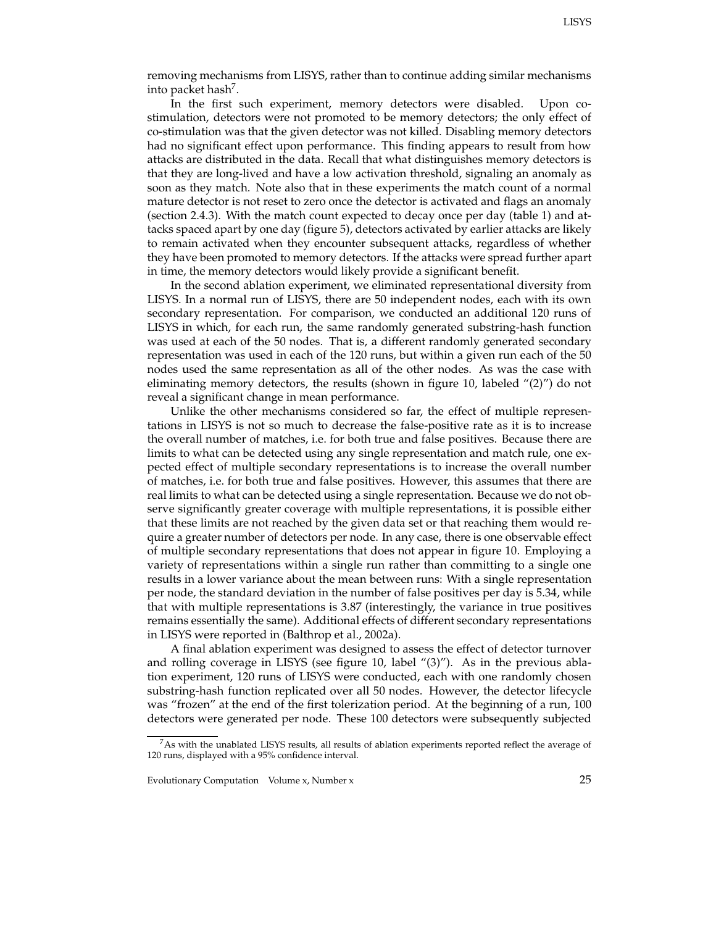removing mechanisms from LISYS, rather than to continue adding similar mechanisms into packet hash<sup>7</sup>.

In the first such experiment, memory detectors were disabled. Upon costimulation, detectors were not promoted to be memory detectors; the only effect of co-stimulation was that the given detector was not killed. Disabling memory detectors had no significant effect upon performance. This finding appears to result from how attacks are distributed in the data. Recall that what distinguishes memory detectors is that they are long-lived and have a low activation threshold, signaling an anomaly as soon as they match. Note also that in these experiments the match count of a normal mature detector is not reset to zero once the detector is activated and flags an anomaly (section 2.4.3). With the match count expected to decay once per day (table 1) and attacks spaced apart by one day (figure 5), detectors activated by earlier attacks are likely to remain activated when they encounter subsequent attacks, regardless of whether they have been promoted to memory detectors. If the attacks were spread further apart in time, the memory detectors would likely provide a significant benefit.

In the second ablation experiment, we eliminated representational diversity from LISYS. In a normal run of LISYS, there are 50 independent nodes, each with its own secondary representation. For comparison, we conducted an additional 120 runs of LISYS in which, for each run, the same randomly generated substring-hash function was used at each of the 50 nodes. That is, a different randomly generated secondary representation was used in each of the 120 runs, but within a given run each of the 50 nodes used the same representation as all of the other nodes. As was the case with eliminating memory detectors, the results (shown in figure 10, labeled  $\prime\prime(2)$ ) do not reveal a significant change in mean performance.

Unlike the other mechanisms considered so far, the effect of multiple representations in LISYS is not so much to decrease the false-positive rate as it is to increase the overall number of matches, i.e. for both true and false positives. Because there are limits to what can be detected using any single representation and match rule, one expected effect of multiple secondary representations is to increase the overall number of matches, i.e. for both true and false positives. However, this assumes that there are real limits to what can be detected using a single representation. Because we do not observe significantly greater coverage with multiple representations, it is possible either that these limits are not reached by the given data set or that reaching them would require a greater number of detectors per node. In any case, there is one observable effect of multiple secondary representations that does not appear in figure 10. Employing a variety of representations within a single run rather than committing to a single one results in a lower variance about the mean between runs: With a single representation per node, the standard deviation in the number of false positives per day is 5.34, while that with multiple representations is 3.87 (interestingly, the variance in true positives remains essentially the same). Additional effects of different secondary representations in LISYS were reported in (Balthrop et al., 2002a).

A final ablation experiment was designed to assess the effect of detector turnover and rolling coverage in LISYS (see figure 10, label "(3)"). As in the previous ablation experiment, 120 runs of LISYS were conducted, each with one randomly chosen substring-hash function replicated over all 50 nodes. However, the detector lifecycle was "frozen" at the end of the first tolerization period. At the beginning of a run, 100 detectors were generated per node. These 100 detectors were subsequently subjected

<sup>7</sup>As with the unablated LISYS results, all results of ablation experiments reported reflect the average of 120 runs, displayed with a 95% confidence interval.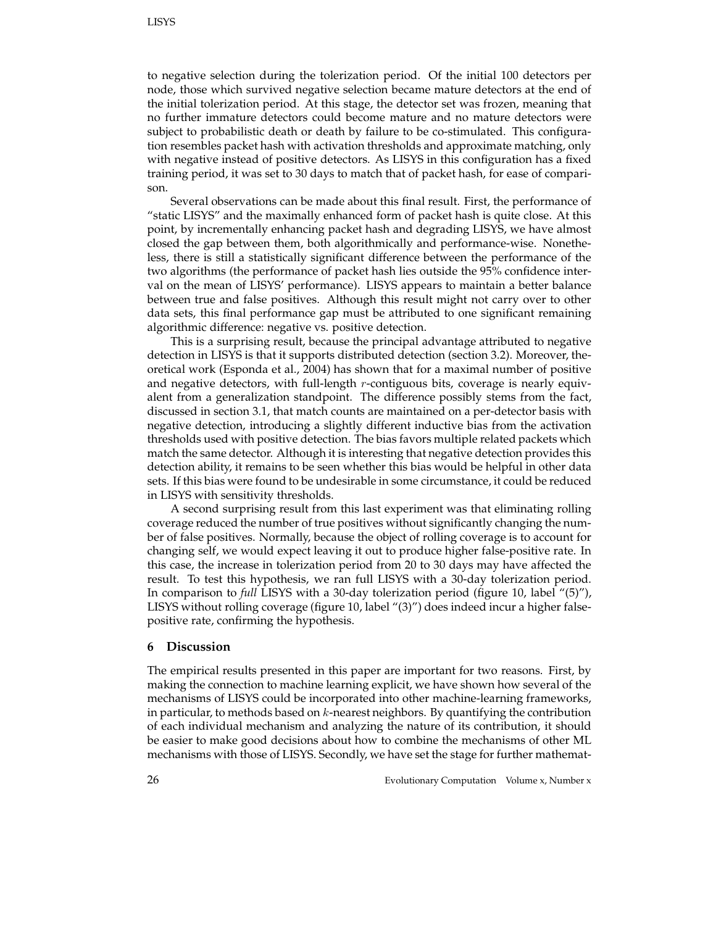to negative selection during the tolerization period. Of the initial 100 detectors per node, those which survived negative selection became mature detectors at the end of the initial tolerization period. At this stage, the detector set was frozen, meaning that no further immature detectors could become mature and no mature detectors were subject to probabilistic death or death by failure to be co-stimulated. This configuration resembles packet hash with activation thresholds and approximate matching, only with negative instead of positive detectors. As LISYS in this configuration has a fixed training period, it was set to 30 days to match that of packet hash, for ease of comparison.

Several observations can be made about this final result. First, the performance of "static LISYS" and the maximally enhanced form of packet hash is quite close. At this point, by incrementally enhancing packet hash and degrading LISYS, we have almost closed the gap between them, both algorithmically and performance-wise. Nonetheless, there is still a statistically significant difference between the performance of the two algorithms (the performance of packet hash lies outside the 95% confidence interval on the mean of LISYS' performance). LISYS appears to maintain a better balance between true and false positives. Although this result might not carry over to other data sets, this final performance gap must be attributed to one significant remaining algorithmic difference: negative vs. positive detection.

This is a surprising result, because the principal advantage attributed to negative detection in LISYS is that it supports distributed detection (section 3.2). Moreover, theoretical work (Esponda et al., 2004) has shown that for a maximal number of positive and negative detectors, with full-length  $r$ -contiguous bits, coverage is nearly equivalent from a generalization standpoint. The difference possibly stems from the fact, discussed in section 3.1, that match counts are maintained on a per-detector basis with negative detection, introducing a slightly different inductive bias from the activation thresholds used with positive detection. The bias favors multiple related packets which match the same detector. Although it is interesting that negative detection provides this detection ability, it remains to be seen whether this bias would be helpful in other data sets. If this bias were found to be undesirable in some circumstance, it could be reduced in LISYS with sensitivity thresholds.

A second surprising result from this last experiment was that eliminating rolling coverage reduced the number of true positives without significantly changing the number of false positives. Normally, because the object of rolling coverage is to account for changing self, we would expect leaving it out to produce higher false-positive rate. In this case, the increase in tolerization period from 20 to 30 days may have affected the result. To test this hypothesis, we ran full LISYS with a 30-day tolerization period. In comparison to *full* LISYS with a 30-day tolerization period (figure 10, label " $(5)$ "), LISYS without rolling coverage (figure 10, label "(3)") does indeed incur a higher falsepositive rate, confirming the hypothesis.

# 6 Discussion

The empirical results presented in this paper are important for two reasons. First, by making the connection to machine learning explicit, we have shown how several of the mechanisms of LISYS could be incorporated into other machine-learning frameworks, in particular, to methods based on  $k$ -nearest neighbors. By quantifying the contribution of each individual mechanism and analyzing the nature of its contribution, it should be easier to make good decisions about how to combine the mechanisms of other ML mechanisms with those of LISYS. Secondly, we have set the stage for further mathemat-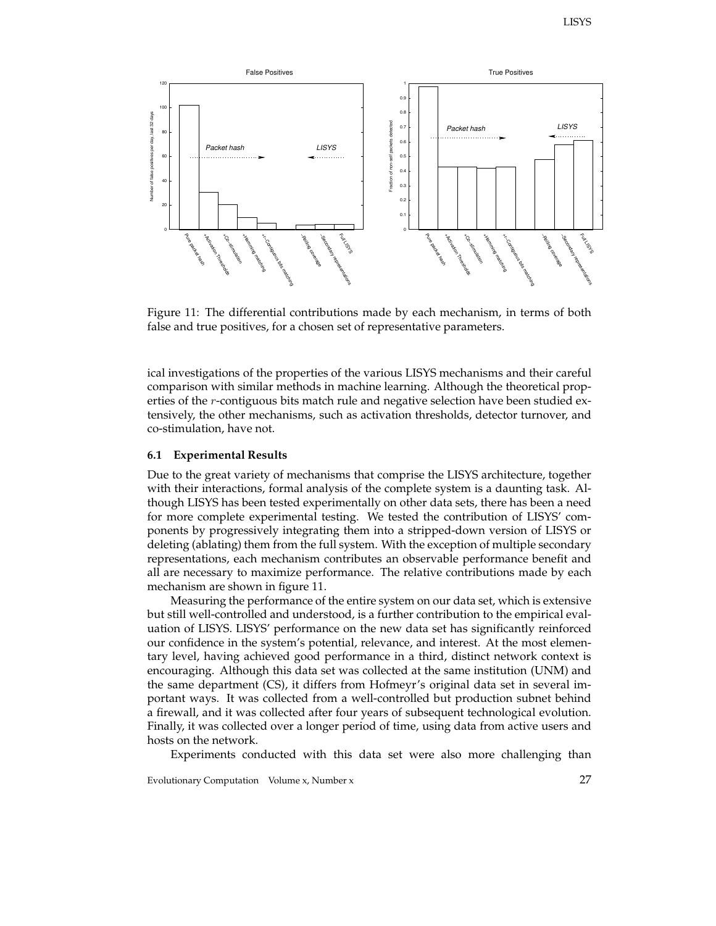

Figure 11: The differential contributions made by each mechanism, in terms of both false and true positives, for a chosen set of representative parameters.

ical investigations of the properties of the various LISYS mechanisms and their careful comparison with similar methods in machine learning. Although the theoretical properties of the r-contiguous bits match rule and negative selection have been studied extensively, the other mechanisms, such as activation thresholds, detector turnover, and co-stimulation, have not.

#### 6.1 Experimental Results

Due to the great variety of mechanisms that comprise the LISYS architecture, together with their interactions, formal analysis of the complete system is a daunting task. Although LISYS has been tested experimentally on other data sets, there has been a need for more complete experimental testing. We tested the contribution of LISYS' components by progressively integrating them into a stripped-down version of LISYS or deleting (ablating) them from the full system. With the exception of multiple secondary representations, each mechanism contributes an observable performance benefit and all are necessary to maximize performance. The relative contributions made by each mechanism are shown in figure 11.

Measuring the performance of the entire system on our data set, which is extensive but still well-controlled and understood, is a further contribution to the empirical evaluation of LISYS. LISYS' performance on the new data set has significantly reinforced our confidence in the system's potential, relevance, and interest. At the most elementary level, having achieved good performance in a third, distinct network context is encouraging. Although this data set was collected at the same institution (UNM) and the same department (CS), it differs from Hofmeyr's original data set in several important ways. It was collected from a well-controlled but production subnet behind a firewall, and it was collected after four years of subsequent technological evolution. Finally, it was collected over a longer period of time, using data from active users and hosts on the network.

Experiments conducted with this data set were also more challenging than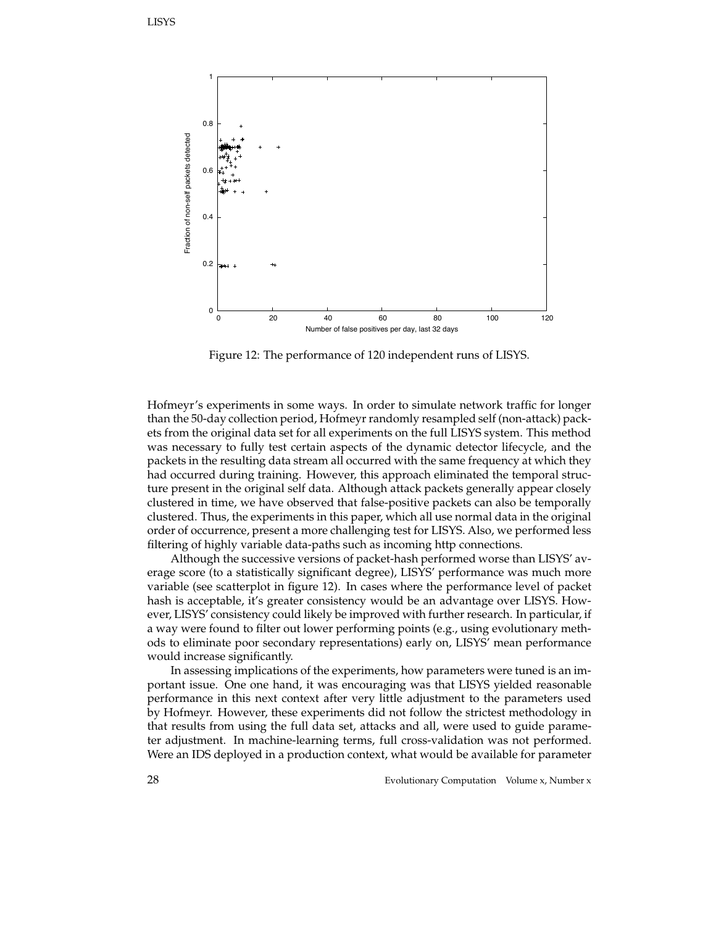

Figure 12: The performance of 120 independent runs of LISYS.

Hofmeyr's experiments in some ways. In order to simulate network traffic for longer than the 50-day collection period, Hofmeyrrandomly resampled self (non-attack) packets from the original data set for all experiments on the full LISYS system. This method was necessary to fully test certain aspects of the dynamic detector lifecycle, and the packets in the resulting data stream all occurred with the same frequency at which they had occurred during training. However, this approach eliminated the temporal structure present in the original self data. Although attack packets generally appear closely clustered in time, we have observed that false-positive packets can also be temporally clustered. Thus, the experiments in this paper, which all use normal data in the original order of occurrence, present a more challenging test for LISYS. Also, we performed less filtering of highly variable data-paths such as incoming http connections.

Although the successive versions of packet-hash performed worse than LISYS' average score (to a statistically significant degree), LISYS' performance was much more variable (see scatterplot in figure 12). In cases where the performance level of packet hash is acceptable, it's greater consistency would be an advantage over LISYS. However, LISYS' consistency could likely be improved with further research. In particular, if a way were found to filter out lower performing points (e.g., using evolutionary methods to eliminate poor secondary representations) early on, LISYS' mean performance would increase significantly.

In assessing implications of the experiments, how parameters were tuned is an important issue. One one hand, it was encouraging was that LISYS yielded reasonable performance in this next context after very little adjustment to the parameters used by Hofmeyr. However, these experiments did not follow the strictest methodology in that results from using the full data set, attacks and all, were used to guide parameter adjustment. In machine-learning terms, full cross-validation was not performed. Were an IDS deployed in a production context, what would be available for parameter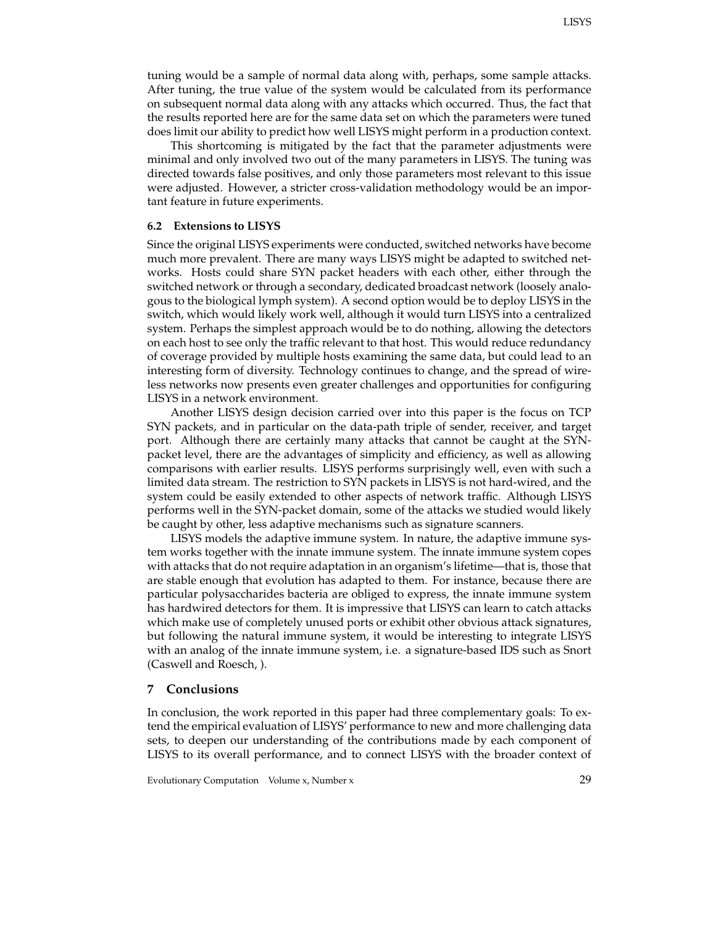tuning would be a sample of normal data along with, perhaps, some sample attacks. After tuning, the true value of the system would be calculated from its performance on subsequent normal data along with any attacks which occurred. Thus, the fact that the results reported here are for the same data set on which the parameters were tuned does limit our ability to predict how well LISYS might perform in a production context.

This shortcoming is mitigated by the fact that the parameter adjustments were minimal and only involved two out of the many parameters in LISYS. The tuning was directed towards false positives, and only those parameters most relevant to this issue were adjusted. However, a stricter cross-validation methodology would be an important feature in future experiments.

# 6.2 Extensions to LISYS

Since the original LISYS experiments were conducted, switched networks have become much more prevalent. There are many ways LISYS might be adapted to switched networks. Hosts could share SYN packet headers with each other, either through the switched network or through a secondary, dedicated broadcast network (loosely analogous to the biological lymph system). A second option would be to deploy LISYS in the switch, which would likely work well, although it would turn LISYS into a centralized system. Perhaps the simplest approach would be to do nothing, allowing the detectors on each host to see only the traffic relevant to that host. This would reduce redundancy of coverage provided by multiple hosts examining the same data, but could lead to an interesting form of diversity. Technology continues to change, and the spread of wireless networks now presents even greater challenges and opportunities for configuring LISYS in a network environment.

Another LISYS design decision carried over into this paper is the focus on TCP SYN packets, and in particular on the data-path triple of sender, receiver, and target port. Although there are certainly many attacks that cannot be caught at the SYNpacket level, there are the advantages of simplicity and efficiency, as well as allowing comparisons with earlier results. LISYS performs surprisingly well, even with such a limited data stream. The restriction to SYN packets in LISYS is not hard-wired, and the system could be easily extended to other aspects of network traffic. Although LISYS performs well in the SYN-packet domain, some of the attacks we studied would likely be caught by other, less adaptive mechanisms such as signature scanners.

LISYS models the adaptive immune system. In nature, the adaptive immune system works together with the innate immune system. The innate immune system copes with attacks that do not require adaptation in an organism's lifetime—that is, those that are stable enough that evolution has adapted to them. For instance, because there are particular polysaccharides bacteria are obliged to express, the innate immune system has hardwired detectors for them. It is impressive that LISYS can learn to catch attacks which make use of completely unused ports or exhibit other obvious attack signatures, but following the natural immune system, it would be interesting to integrate LISYS with an analog of the innate immune system, i.e. a signature-based IDS such as Snort (Caswell and Roesch, ).

#### 7 Conclusions

In conclusion, the work reported in this paper had three complementary goals: To extend the empirical evaluation of LISYS' performance to new and more challenging data sets, to deepen our understanding of the contributions made by each component of LISYS to its overall performance, and to connect LISYS with the broader context of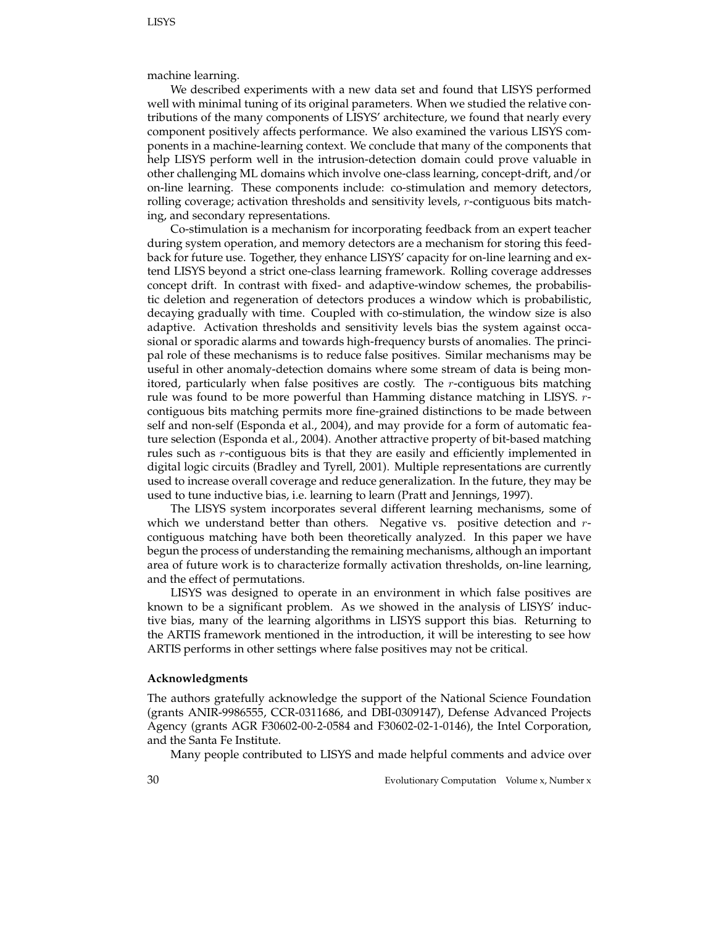machine learning.

We described experiments with a new data set and found that LISYS performed well with minimal tuning of its original parameters. When we studied the relative contributions of the many components of LISYS' architecture, we found that nearly every component positively affects performance. We also examined the various LISYS components in a machine-learning context. We conclude that many of the components that help LISYS perform well in the intrusion-detection domain could prove valuable in other challenging ML domains which involve one-class learning, concept-drift, and/or on-line learning. These components include: co-stimulation and memory detectors, rolling coverage; activation thresholds and sensitivity levels, r-contiguous bits matching, and secondary representations.

Co-stimulation is a mechanism for incorporating feedback from an expert teacher during system operation, and memory detectors are a mechanism for storing this feedback for future use. Together, they enhance LISYS' capacity for on-line learning and extend LISYS beyond a strict one-class learning framework. Rolling coverage addresses concept drift. In contrast with fixed- and adaptive-window schemes, the probabilistic deletion and regeneration of detectors produces a window which is probabilistic, decaying gradually with time. Coupled with co-stimulation, the window size is also adaptive. Activation thresholds and sensitivity levels bias the system against occasional or sporadic alarms and towards high-frequency bursts of anomalies. The principal role of these mechanisms is to reduce false positives. Similar mechanisms may be useful in other anomaly-detection domains where some stream of data is being monitored, particularly when false positives are costly. The  $r$ -contiguous bits matching rule was found to be more powerful than Hamming distance matching in LISYS. rcontiguous bits matching permits more fine-grained distinctions to be made between self and non-self (Esponda et al., 2004), and may provide for a form of automatic feature selection (Esponda et al., 2004). Another attractive property of bit-based matching rules such as r-contiguous bits is that they are easily and efficiently implemented in digital logic circuits (Bradley and Tyrell, 2001). Multiple representations are currently used to increase overall coverage and reduce generalization. In the future, they may be used to tune inductive bias, i.e. learning to learn (Pratt and Jennings, 1997).

The LISYS system incorporates several different learning mechanisms, some of which we understand better than others. Negative vs. positive detection and  $r$ contiguous matching have both been theoretically analyzed. In this paper we have begun the process of understanding the remaining mechanisms, although an important area of future work is to characterize formally activation thresholds, on-line learning, and the effect of permutations.

LISYS was designed to operate in an environment in which false positives are known to be a significant problem. As we showed in the analysis of LISYS' inductive bias, many of the learning algorithms in LISYS support this bias. Returning to the ARTIS framework mentioned in the introduction, it will be interesting to see how ARTIS performs in other settings where false positives may not be critical.

#### Acknowledgments

The authors gratefully acknowledge the support of the National Science Foundation (grants ANIR-9986555, CCR-0311686, and DBI-0309147), Defense Advanced Projects Agency (grants AGR F30602-00-2-0584 and F30602-02-1-0146), the Intel Corporation, and the Santa Fe Institute.

Many people contributed to LISYS and made helpful comments and advice over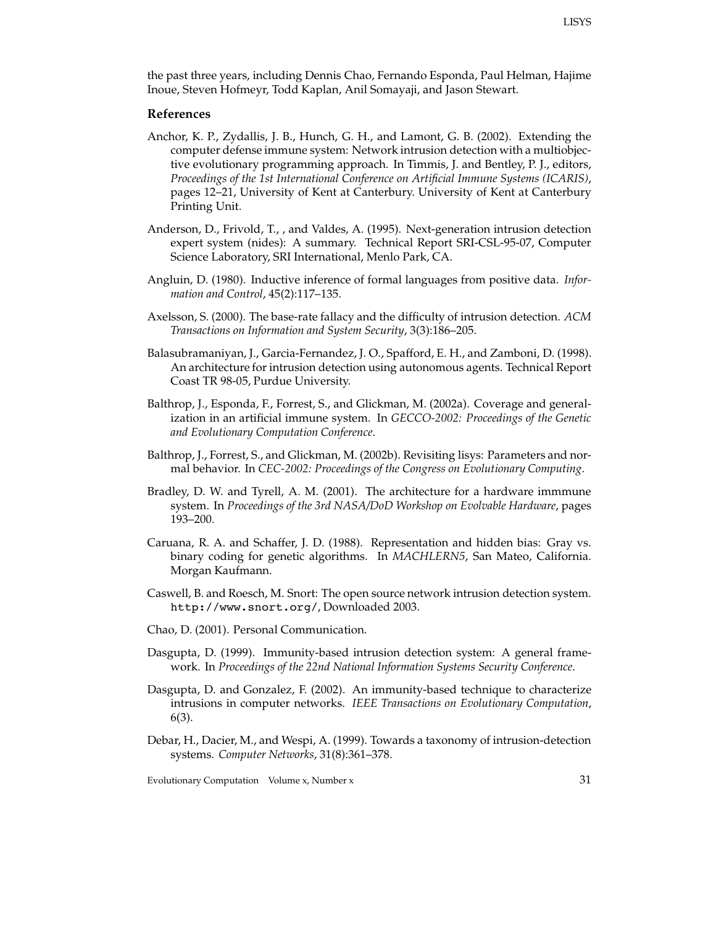the past three years, including Dennis Chao, Fernando Esponda, Paul Helman, Hajime Inoue, Steven Hofmeyr, Todd Kaplan, Anil Somayaji, and Jason Stewart.

# References

- Anchor, K. P., Zydallis, J. B., Hunch, G. H., and Lamont, G. B. (2002). Extending the computer defense immune system: Network intrusion detection with a multiobjective evolutionary programming approach. In Timmis, J. and Bentley, P. J., editors, Proceedings of the 1st International Conference on Artificial Immune Systems (ICARIS), pages 12–21, University of Kent at Canterbury. University of Kent at Canterbury Printing Unit.
- Anderson, D., Frivold, T., , and Valdes, A. (1995). Next-generation intrusion detection expert system (nides): A summary. Technical Report SRI-CSL-95-07, Computer Science Laboratory, SRI International, Menlo Park, CA.
- Angluin, D. (1980). Inductive inference of formal languages from positive data. *Infor*mation and Control, 45(2):117–135.
- Axelsson, S. (2000). The base-rate fallacy and the difficulty of intrusion detection. ACM Transactions on Information and System Security, 3(3):186–205.
- Balasubramaniyan, J., Garcia-Fernandez, J. O., Spafford, E. H., and Zamboni, D. (1998). An architecture for intrusion detection using autonomous agents. Technical Report Coast TR 98-05, Purdue University.
- Balthrop, J., Esponda, F., Forrest, S., and Glickman, M. (2002a). Coverage and generalization in an artificial immune system. In GECCO-2002: Proceedings of the Genetic and Evolutionary Computation Conference.
- Balthrop, J., Forrest, S., and Glickman, M. (2002b). Revisiting lisys: Parameters and normal behavior. In CEC-2002: Proceedings of the Congress on Evolutionary Computing.
- Bradley, D. W. and Tyrell, A. M. (2001). The architecture for a hardware immmune system. In Proceedings of the 3rd NASA/DoD Workshop on Evolvable Hardware, pages 193–200.
- Caruana, R. A. and Schaffer, J. D. (1988). Representation and hidden bias: Gray vs. binary coding for genetic algorithms. In MACHLERN5, San Mateo, California. Morgan Kaufmann.
- Caswell, B. and Roesch, M. Snort: The open source network intrusion detection system. http://www.snort.org/, Downloaded 2003.
- Chao, D. (2001). Personal Communication.
- Dasgupta, D. (1999). Immunity-based intrusion detection system: A general framework. In Proceedings of the 22nd National Information Systems Security Conference.
- Dasgupta, D. and Gonzalez, F. (2002). An immunity-based technique to characterize intrusions in computer networks. IEEE Transactions on Evolutionary Computation, 6(3).
- Debar, H., Dacier, M., and Wespi, A. (1999). Towards a taxonomy of intrusion-detection systems. Computer Networks, 31(8):361–378.

Evolutionary Computation Volume x, Number x 31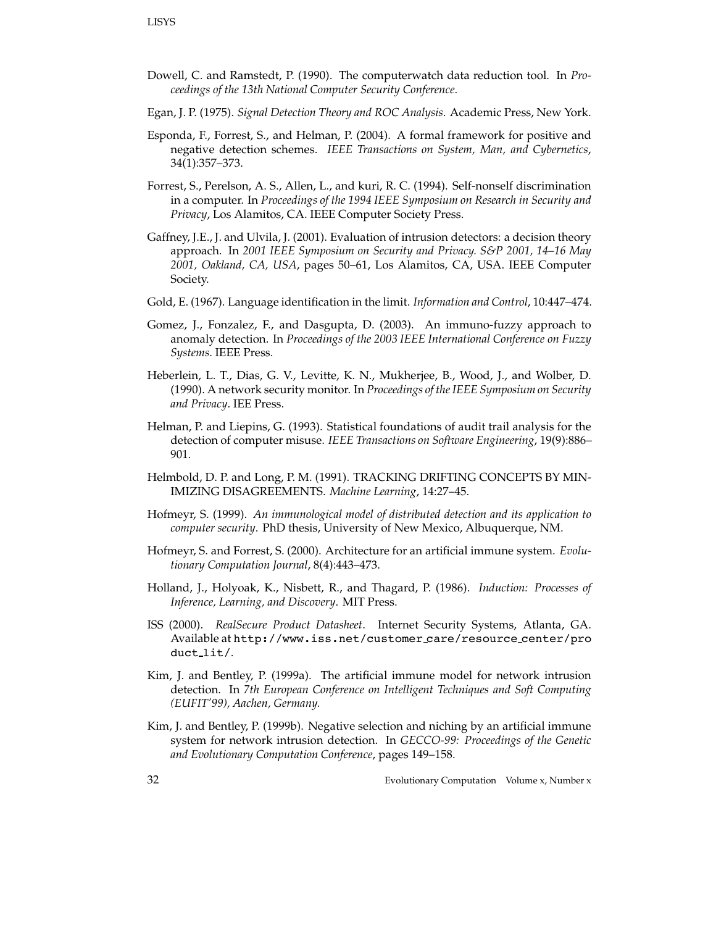- Dowell, C. and Ramstedt, P. (1990). The computerwatch data reduction tool. In Proceedings of the 13th National Computer Security Conference.
- Egan, J. P. (1975). Signal Detection Theory and ROC Analysis. Academic Press, New York.
- Esponda, F., Forrest, S., and Helman, P. (2004). A formal framework for positive and negative detection schemes. IEEE Transactions on System, Man, and Cybernetics, 34(1):357–373.
- Forrest, S., Perelson, A. S., Allen, L., and kuri, R. C. (1994). Self-nonself discrimination in a computer. In Proceedings of the 1994 IEEE Symposium on Research in Security and Privacy, Los Alamitos, CA. IEEE Computer Society Press.
- Gaffney, J.E., J. and Ulvila, J. (2001). Evaluation of intrusion detectors: a decision theory approach. In 2001 IEEE Symposium on Security and Privacy. S&P 2001, 14–16 May 2001, Oakland, CA, USA, pages 50–61, Los Alamitos, CA, USA. IEEE Computer Society.
- Gold, E. (1967). Language identification in the limit. Information and Control, 10:447–474.
- Gomez, J., Fonzalez, F., and Dasgupta, D. (2003). An immuno-fuzzy approach to anomaly detection. In Proceedings of the 2003 IEEE International Conference on Fuzzy Systems. IEEE Press.
- Heberlein, L. T., Dias, G. V., Levitte, K. N., Mukherjee, B., Wood, J., and Wolber, D. (1990). A network security monitor. In *Proceedings of the IEEE Symposium on Security* and Privacy. IEE Press.
- Helman, P. and Liepins, G. (1993). Statistical foundations of audit trail analysis for the detection of computer misuse. IEEE Transactions on Software Engineering, 19(9):886– 901.
- Helmbold, D. P. and Long, P. M. (1991). TRACKING DRIFTING CONCEPTS BY MIN-IMIZING DISAGREEMENTS. Machine Learning, 14:27–45.
- Hofmeyr, S. (1999). An immunological model of distributed detection and its application to computer security. PhD thesis, University of New Mexico, Albuquerque, NM.
- Hofmeyr, S. and Forrest, S. (2000). Architecture for an artificial immune system. Evolutionary Computation Journal, 8(4):443–473.
- Holland, J., Holyoak, K., Nisbett, R., and Thagard, P. (1986). Induction: Processes of Inference, Learning, and Discovery. MIT Press.
- ISS (2000). RealSecure Product Datasheet. Internet Security Systems, Atlanta, GA. Available at http://www.iss.net/customer care/resource center/pro duct lit/.
- Kim, J. and Bentley, P. (1999a). The artificial immune model for network intrusion detection. In 7th European Conference on Intelligent Techniques and Soft Computing (EUFIT'99), Aachen, Germany.
- Kim, J. and Bentley, P. (1999b). Negative selection and niching by an artificial immune system for network intrusion detection. In GECCO-99: Proceedings of the Genetic and Evolutionary Computation Conference, pages 149–158.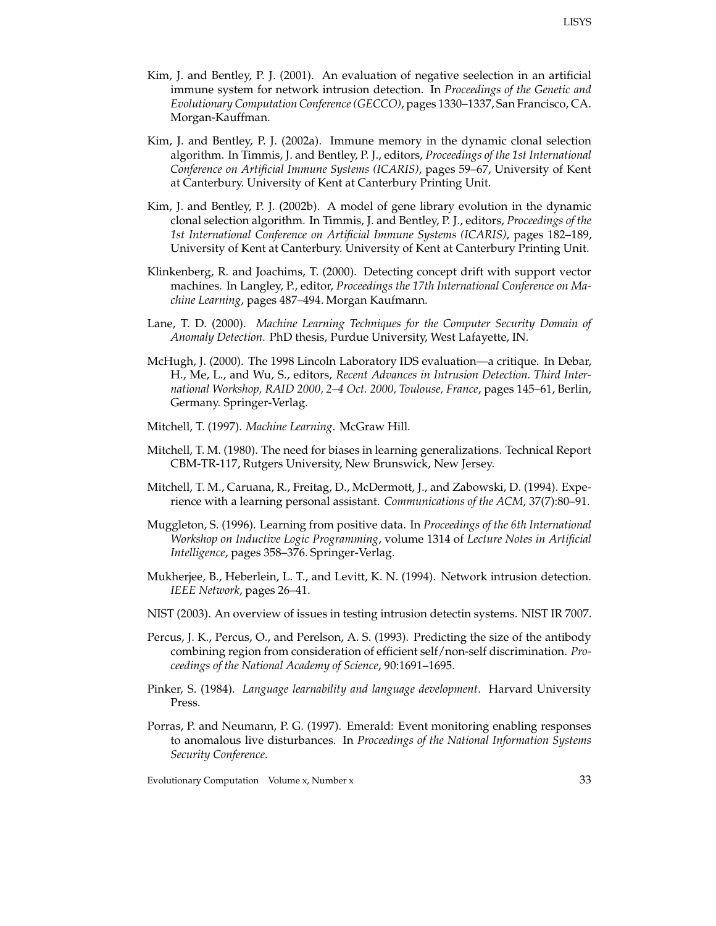- Kim, J. and Bentley, P. J. (2001). An evaluation of negative seelection in an artificial immune system for network intrusion detection. In Proceedings of the Genetic and Evolutionary Computation Conference (GECCO), pages 1330–1337, San Francisco, CA. Morgan-Kauffman.
- Kim, J. and Bentley, P. J. (2002a). Immune memory in the dynamic clonal selection algorithm. In Timmis, J. and Bentley, P. J., editors, Proceedings of the 1st International Conference on Artificial Immune Systems (ICARIS), pages 59–67, University of Kent at Canterbury. University of Kent at Canterbury Printing Unit.
- Kim, J. and Bentley, P. J. (2002b). A model of gene library evolution in the dynamic clonal selection algorithm. In Timmis, J. and Bentley, P. J., editors, Proceedings of the 1st International Conference on Artificial Immune Systems (ICARIS), pages 182–189, University of Kent at Canterbury. University of Kent at Canterbury Printing Unit.
- Klinkenberg, R. and Joachims, T. (2000). Detecting concept drift with support vector machines. In Langley, P., editor, Proceedings the 17th International Conference on Machine Learning, pages 487–494. Morgan Kaufmann.
- Lane, T. D. (2000). Machine Learning Techniques for the Computer Security Domain of Anomaly Detection. PhD thesis, Purdue University, West Lafayette, IN.
- McHugh, J. (2000). The 1998 Lincoln Laboratory IDS evaluation—a critique. In Debar, H., Me, L., and Wu, S., editors, Recent Advances in Intrusion Detection. Third International Workshop, RAID 2000, 2–4 Oct. 2000, Toulouse, France, pages 145–61, Berlin, Germany. Springer-Verlag.
- Mitchell, T. (1997). Machine Learning. McGraw Hill.
- Mitchell, T. M. (1980). The need for biases in learning generalizations. Technical Report CBM-TR-117, Rutgers University, New Brunswick, New Jersey.
- Mitchell, T. M., Caruana, R., Freitag, D., McDermott, J., and Zabowski, D. (1994). Experience with a learning personal assistant. Communications of the ACM, 37(7):80–91.
- Muggleton, S. (1996). Learning from positive data. In Proceedings of the 6th International Workshop on Inductive Logic Programming, volume 1314 of Lecture Notes in Artificial Intelligence, pages 358–376. Springer-Verlag.
- Mukherjee, B., Heberlein, L. T., and Levitt, K. N. (1994). Network intrusion detection. IEEE Network, pages 26–41.
- NIST (2003). An overview of issues in testing intrusion detectin systems. NIST IR 7007.
- Percus, J. K., Percus, O., and Perelson, A. S. (1993). Predicting the size of the antibody combining region from consideration of efficient self/non-self discrimination. Proceedings of the National Academy of Science, 90:1691–1695.
- Pinker, S. (1984). Language learnability and language development. Harvard University Press.
- Porras, P. and Neumann, P. G. (1997). Emerald: Event monitoring enabling responses to anomalous live disturbances. In Proceedings of the National Information Systems Security Conference.

Evolutionary Computation Volume x, Number x 33